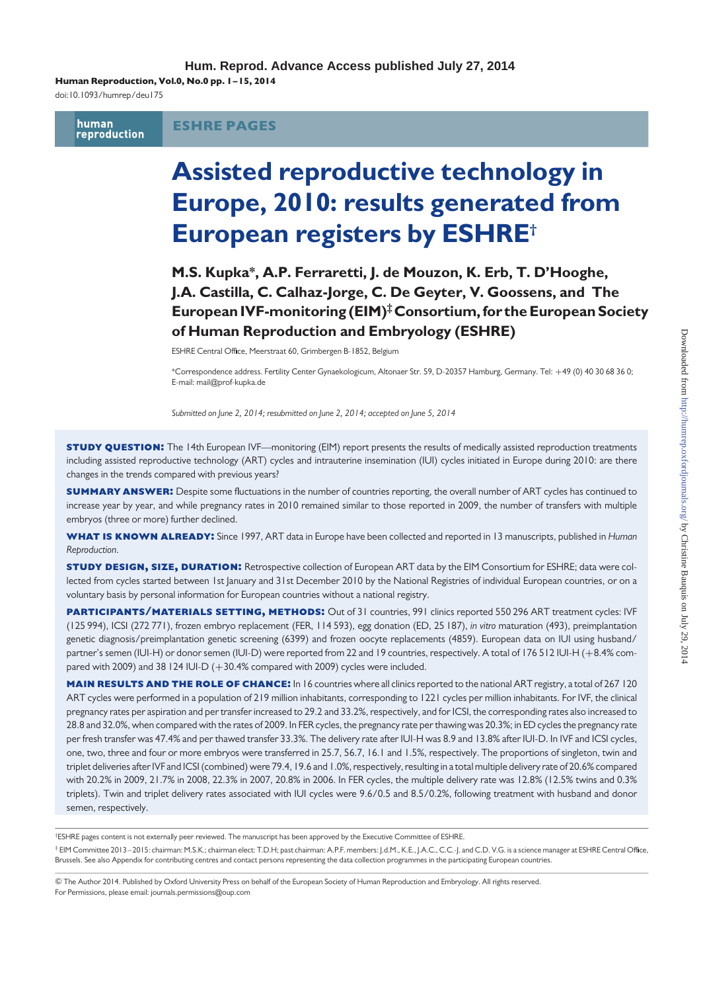Human Reproduction, Vol.0, No.0 pp. 1 –15, 2014

doi:10.1093/humrep/deu175

human<br>reproduction ESHRE PAGES

# Assisted reproductive technology in Europe, 2010: results generated from European registers by ESHRE†

M.S. Kupka\*, A.P. Ferraretti, J. de Mouzon, K. Erb, T. D'Hooghe, J.A. Castilla, C. Calhaz-Jorge, C. De Geyter, V. Goossens, and The European IVF-monitoring (EIM)‡Consortium,for the European Society of Human Reproduction and Embryology (ESHRE)

ESHRE Central Office, Meerstraat 60, Grimbergen B-1852, Belgium

\*Correspondence address. Fertility Center Gynaekologicum, Altonaer Str. 59, D-20357 Hamburg, Germany. Tel: +49 (0) 40 30 68 36 0; E-mail: mail@prof-kupka.de

Submitted on June 2, 2014; resubmitted on June 2, 2014; accepted on June 5, 2014

**STUDY QUESTION:** The 14th European IVF—monitoring (EIM) report presents the results of medically assisted reproduction treatments including assisted reproductive technology (ART) cycles and intrauterine insemination (IUI) cycles initiated in Europe during 2010: are there changes in the trends compared with previous years?

**SUMMARY ANSWER:** Despite some fluctuations in the number of countries reporting, the overall number of ART cycles has continued to increase year by year, and while pregnancy rates in 2010 remained similar to those reported in 2009, the number of transfers with multiple embryos (three or more) further declined.

WHAT IS KNOWN ALREADY: Since 1997, ART data in Europe have been collected and reported in 13 manuscripts, published in Human Reproduction.

**STUDY DESIGN, SIZE, DURATION:** Retrospective collection of European ART data by the EIM Consortium for ESHRE; data were collected from cycles started between 1st January and 31st December 2010 by the National Registries of individual European countries, or on a voluntary basis by personal information for European countries without a national registry.

PARTICIPANTS/MATERIALS SETTING, METHODS: Out of 31 countries, 991 clinics reported 550 296 ART treatment cycles: IVF (125 994), ICSI (272 771), frozen embryo replacement (FER, 114 593), egg donation (ED, 25 187), in vitro maturation (493), preimplantation genetic diagnosis/preimplantation genetic screening (6399) and frozen oocyte replacements (4859). European data on IUI using husband/ partner's semen (IUI-H) or donor semen (IUI-D) were reported from 22 and 19 countries, respectively. A total of 176 512 IUI-H (+8.4% compared with 2009) and 38 124 IUI-D (+30.4% compared with 2009) cycles were included.

**MAIN RESULTS AND THE ROLE OF CHANCE:** In 16 countries where all clinics reported to the national ART registry, a total of 267 120 ART cycles were performed in a population of 219 million inhabitants, corresponding to 1221 cycles per million inhabitants. For IVF, the clinical pregnancy rates per aspiration and per transfer increased to 29.2 and 33.2%, respectively, and for ICSI, the corresponding rates also increased to 28.8 and 32.0%, when compared with the rates of 2009. In FER cycles, the pregnancy rate per thawing was 20.3%; in ED cycles the pregnancy rate per fresh transfer was 47.4% and per thawed transfer 33.3%. The delivery rate after IUI-H was 8.9 and 13.8% after IUI-D. In IVF and ICSI cycles, one, two, three and four or more embryos were transferred in 25.7, 56.7, 16.1 and 1.5%, respectively. The proportions of singleton, twin and triplet deliveries after IVF and ICSI (combined) were 79.4, 19.6 and 1.0%, respectively, resulting in a total multiple delivery rate of 20.6% compared with 20.2% in 2009, 21.7% in 2008, 22.3% in 2007, 20.8% in 2006. In FER cycles, the multiple delivery rate was 12.8% (12.5% twins and 0.3% triplets). Twin and triplet delivery rates associated with IUI cycles were 9.6/0.5 and 8.5/0.2%, following treatment with husband and donor semen, respectively.

† ESHRE pages content is not externally peer reviewed. The manuscript has been approved by the Executive Committee of ESHRE. ‡ EIM Committee 2013 –2015: chairman: M.S.K.; chairman elect: T.D.H; past chairman: A.P.F. members: J.d.M., K.E., J.A.C., C.C.-J. and C.D. V.G. is a science manager at ESHRE Central Office, Brussels. See also Appendix for contributing centres and contact persons representing the data collection programmes in the participating European countries.

& The Author 2014. Published by Oxford University Press on behalf of the European Society of Human Reproduction and Embryology. All rights reserved. For Permissions, please email: journals.permissions@oup.com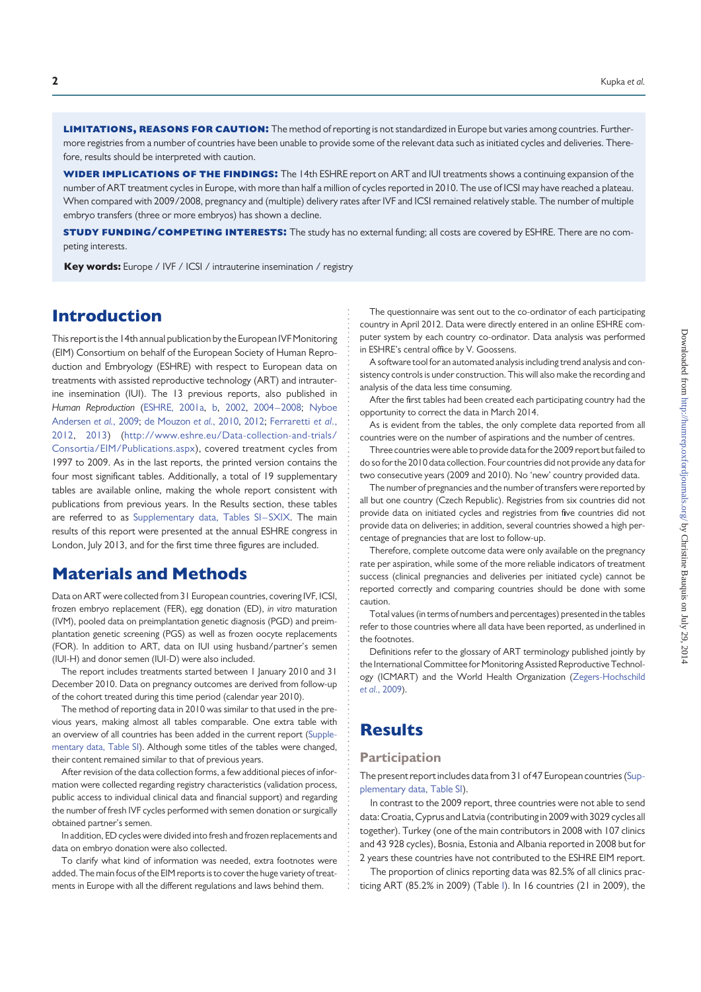LIMITATIONS. REASONS FOR CAUTION: The method of reporting is not standardized in Europe but varies among countries. Furthermore registries from a number of countries have been unable to provide some of the relevant data such as initiated cycles and deliveries. Therefore, results should be interpreted with caution.

WIDER IMPLICATIONS OF THE FINDINGS: The 14th ESHRE report on ART and IUI treatments shows a continuing expansion of the number of ART treatment cycles in Europe, with more than half a million of cycles reported in 2010. The use of ICSI may have reached a plateau. When compared with 2009/2008, pregnancy and (multiple) delivery rates after IVF and ICSI remained relatively stable. The number of multiple embryo transfers (three or more embryos) has shown a decline.

**STUDY FUNDING/COMPETING INTERESTS:** The study has no external funding; all costs are covered by ESHRE. There are no competing interests.

Key words: Europe / IVF / ICSI / intrauterine insemination / registry

### Introduction

This report is the 14th annual publication by the European IVF Monitoring (EIM) Consortium on behalf of the European Society of Human Reproduction and Embryology (ESHRE) with respect to European data on treatments with assisted reproductive technology (ART) and intrauterine insemination (IUI). The 13 previous reports, also published in Human Reproduction (ESHRE, 2001a, b, 2002, 2004–2008; Nyboe Andersen et al., 2009; de Mouzon et al., 2010, 2012; Ferraretti et al., 2012, 2013) (http://www.eshre.eu/Data-collection-and-trials/ Consortia/EIM/Publications.aspx), covered treatment cycles from 1997 to 2009. As in the last reports, the printed version contains the four most significant tables. Additionally, a total of 19 supplementary tables are available online, making the whole report consistent with publications from previous years. In the Results section, these tables are referred to as Supplementary data, Tables SI-SXIX. The main results of this report were presented at the annual ESHRE congress in London, July 2013, and for the first time three figures are included.

### Materials and Methods

Data on ART were collected from 31 European countries, covering IVF, ICSI, frozen embryo replacement (FER), egg donation (ED), in vitro maturation (IVM), pooled data on preimplantation genetic diagnosis (PGD) and preimplantation genetic screening (PGS) as well as frozen oocyte replacements (FOR). In addition to ART, data on IUI using husband/partner's semen (IUI-H) and donor semen (IUI-D) were also included.

The report includes treatments started between 1 January 2010 and 31 December 2010. Data on pregnancy outcomes are derived from follow-up of the cohort treated during this time period (calendar year 2010).

The method of reporting data in 2010 was similar to that used in the previous years, making almost all tables comparable. One extra table with an overview of all countries has been added in the current report (Supplementary data, Table SI). Although some titles of the tables were changed, their content remained similar to that of previous years.

After revision of the data collection forms, a few additional pieces of information were collected regarding registry characteristics (validation process, public access to individual clinical data and financial support) and regarding the number of fresh IVF cycles performed with semen donation or surgically obtained partner's semen.

In addition, ED cycles were divided into fresh and frozen replacements and data on embryo donation were also collected.

To clarify what kind of information was needed, extra footnotes were added. The main focus of the EIM reports is to cover the huge variety of treatments in Europe with all the different regulations and laws behind them.

The questionnaire was sent out to the co-ordinator of each participating country in April 2012. Data were directly entered in an online ESHRE computer system by each country co-ordinator. Data analysis was performed in ESHRE's central office by V. Goossens.

A software tool for an automated analysis including trend analysis and consistency controls is under construction. This will also make the recording and analysis of the data less time consuming.

After the first tables had been created each participating country had the opportunity to correct the data in March 2014.

As is evident from the tables, the only complete data reported from all countries were on the number of aspirations and the number of centres.

Three countries were able to provide data for the 2009 report but failed to do so for the 2010 data collection. Four countries did not provide any data for two consecutive years (2009 and 2010). No 'new' country provided data.

The number of pregnancies and the number of transfers were reported by all but one country (Czech Republic). Registries from six countries did not provide data on initiated cycles and registries from five countries did not provide data on deliveries; in addition, several countries showed a high percentage of pregnancies that are lost to follow-up.

Therefore, complete outcome data were only available on the pregnancy rate per aspiration, while some of the more reliable indicators of treatment success (clinical pregnancies and deliveries per initiated cycle) cannot be reported correctly and comparing countries should be done with some caution.

Total values (in terms of numbers and percentages) presented in the tables refer to those countries where all data have been reported, as underlined in the footnotes.

Definitions refer to the glossary of ART terminology published jointly by the International Committee for Monitoring Assisted Reproductive Technology (ICMART) and the World Health Organization (Zegers-Hochschild et al., 2009).

## **Results**

### **Participation**

The present report includes data from 31 of 47 European countries (Supplementary data, Table SI).

In contrast to the 2009 report, three countries were not able to send data:Croatia,Cyprus and Latvia (contributing in 2009 with 3029 cycles all together). Turkey (one of the main contributors in 2008 with 107 clinics and 43 928 cycles), Bosnia, Estonia and Albania reported in 2008 but for 2 years these countries have not contributed to the ESHRE EIM report.

The proportion of clinics reporting data was 82.5% of all clinics practicing ART (85.2% in 2009) (Table I). In 16 countries (21 in 2009), the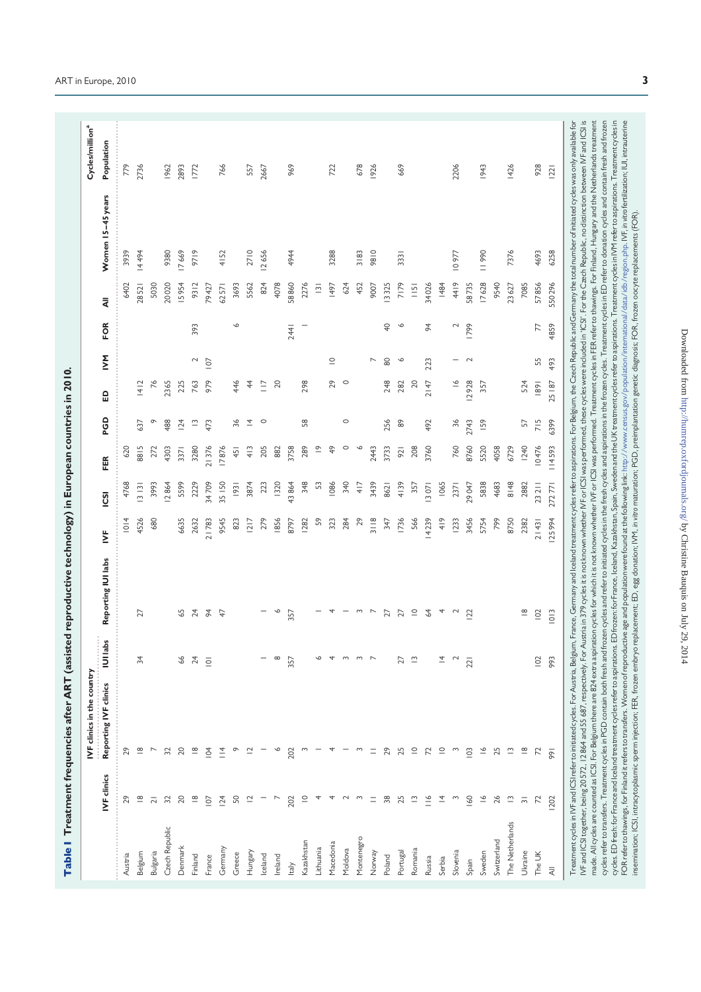| 779     | 2736                    |                | 1962           | 2893            | 1772                    |                | 766           |        | 557            | 2667     |              | 969   |             |                         | 722           |         | 678        | 1926                |                 | 669                        |                  |               |                | 2206          |                | 1943        |             | 1426            |                           | 928      | 22             |                                                                                                                                                                                                                                                                                                                                                                                                                                                                                                                                                                                                                                                                                                                                                                                                                                                                                                                                                                                                                                                                                                                                                                                                                                                                                                                                                                                                                                                                                                   |
|---------|-------------------------|----------------|----------------|-----------------|-------------------------|----------------|---------------|--------|----------------|----------|--------------|-------|-------------|-------------------------|---------------|---------|------------|---------------------|-----------------|----------------------------|------------------|---------------|----------------|---------------|----------------|-------------|-------------|-----------------|---------------------------|----------|----------------|---------------------------------------------------------------------------------------------------------------------------------------------------------------------------------------------------------------------------------------------------------------------------------------------------------------------------------------------------------------------------------------------------------------------------------------------------------------------------------------------------------------------------------------------------------------------------------------------------------------------------------------------------------------------------------------------------------------------------------------------------------------------------------------------------------------------------------------------------------------------------------------------------------------------------------------------------------------------------------------------------------------------------------------------------------------------------------------------------------------------------------------------------------------------------------------------------------------------------------------------------------------------------------------------------------------------------------------------------------------------------------------------------------------------------------------------------------------------------------------------------|
| 3939    | 14494                   |                | 9380           | 17669           | 9719                    |                | 4152          |        | 2710           | 12656    |              | 4944  |             |                         | 3288          |         | 3183       | 9810                |                 | 3331                       |                  |               |                | 10977         |                | 11990       |             | 7376            |                           | 4693     | 6258           |                                                                                                                                                                                                                                                                                                                                                                                                                                                                                                                                                                                                                                                                                                                                                                                                                                                                                                                                                                                                                                                                                                                                                                                                                                                                                                                                                                                                                                                                                                   |
| 6402    |                         | 5030           | 20020          | 15954           | 9312                    | 79427          | 62571         | 3693   | 5562           | 824      | 4078         | 58860 | 2276        | $\overline{13}$         | 1497          | 624     | 452        | 9007                | 13325           | 7179                       | $\overline{115}$ | 34026         | 1484           | 4419          | 58735          | 17628       | 9540        | 23627           | 7085                      | 57856    |                |                                                                                                                                                                                                                                                                                                                                                                                                                                                                                                                                                                                                                                                                                                                                                                                                                                                                                                                                                                                                                                                                                                                                                                                                                                                                                                                                                                                                                                                                                                   |
|         | 28521                   |                |                |                 |                         |                |               |        |                |          |              |       |             |                         |               |         |            |                     |                 |                            |                  |               |                |               |                |             |             |                 |                           |          | 550296         |                                                                                                                                                                                                                                                                                                                                                                                                                                                                                                                                                                                                                                                                                                                                                                                                                                                                                                                                                                                                                                                                                                                                                                                                                                                                                                                                                                                                                                                                                                   |
|         |                         |                |                |                 | 393                     |                |               | ७      |                |          |              | 2441  |             |                         |               |         |            |                     | $\overline{Q}$  | $\circ$                    |                  | 54            |                | $\sim$        | 1799           |             |             |                 |                           | 77       | 4859           |                                                                                                                                                                                                                                                                                                                                                                                                                                                                                                                                                                                                                                                                                                                                                                                                                                                                                                                                                                                                                                                                                                                                                                                                                                                                                                                                                                                                                                                                                                   |
|         |                         |                |                |                 | $\sim$                  | 107            |               |        |                |          |              |       |             |                         | $\subseteq$   |         |            | L                   | 80              | P                          |                  | 223           |                |               | $\sim$         |             |             |                 |                           | 55       | 493            |                                                                                                                                                                                                                                                                                                                                                                                                                                                                                                                                                                                                                                                                                                                                                                                                                                                                                                                                                                                                                                                                                                                                                                                                                                                                                                                                                                                                                                                                                                   |
|         | 412                     | $\frac{1}{6}$  | 2365           | 225             | 763                     | 979            |               | 446    | 4              | $\equiv$ | 20           |       | 298         |                         | 29            | $\circ$ |            |                     | 248             | 282                        | $20$             | 2147          |                | $\frac{8}{1}$ | 12928          | 357         |             |                 | 524                       | 89       | 25 187         |                                                                                                                                                                                                                                                                                                                                                                                                                                                                                                                                                                                                                                                                                                                                                                                                                                                                                                                                                                                                                                                                                                                                                                                                                                                                                                                                                                                                                                                                                                   |
|         | 637                     | $\circ$        | 488            | $\overline{24}$ | $\tilde{c}$             | 473            |               | 96     | $\overline{4}$ | $\circ$  |              |       | 58          |                         |               | $\circ$ |            |                     | 256             | $\ensuremath{\mathsf{86}}$ |                  | 492           |                | 36            | 2743           | <b>159</b>  |             |                 | 57                        | 715      | 6399           |                                                                                                                                                                                                                                                                                                                                                                                                                                                                                                                                                                                                                                                                                                                                                                                                                                                                                                                                                                                                                                                                                                                                                                                                                                                                                                                                                                                                                                                                                                   |
| 620     | 8815                    | 272            | 4303           | 3371            | 3280                    | 21376          | 17876         | 451    | 413            | 205      | 882          | 3758  | 289         | $\frac{\infty}{\infty}$ | $\frac{9}{4}$ | $\circ$ | ◡          | 2443                | 3733            | 921                        | 208              | 3760          |                | 760           | 8760           | 5520        | 4058        | 6729            | 1240                      | 10476    | 114593         |                                                                                                                                                                                                                                                                                                                                                                                                                                                                                                                                                                                                                                                                                                                                                                                                                                                                                                                                                                                                                                                                                                                                                                                                                                                                                                                                                                                                                                                                                                   |
| 4768    | 3131                    | 3993           | 2864           | 5599            | 2229                    | 34709          | 35   50       | 93     | 3874           | 223      | 1320         | 43864 | 348         | 53                      | 1086          | 340     | 417        | 3439                | 8621            | 4139                       | 357              | 13071         | 1065           | 2371          | 29047          | 5838        | 4683        | 8148            | 2882                      | 23 2 1 1 | 272771         |                                                                                                                                                                                                                                                                                                                                                                                                                                                                                                                                                                                                                                                                                                                                                                                                                                                                                                                                                                                                                                                                                                                                                                                                                                                                                                                                                                                                                                                                                                   |
| 1014    | 4526                    | 680            |                | 6635            | 2632                    | 21783          | 9545          | 823    | 1217           | 279      | 856          | 8797  | 1282        | 59                      | 323           | 284     | 29         | $\frac{8}{3}$     8 | 347             | 1736                       | 566              | 14239         | $rac{4}{3}$    | <b>1233</b>   | 3456           | 5754        | 799         | 8750            | 2382                      | 21431    | 25994          |                                                                                                                                                                                                                                                                                                                                                                                                                                                                                                                                                                                                                                                                                                                                                                                                                                                                                                                                                                                                                                                                                                                                                                                                                                                                                                                                                                                                                                                                                                   |
|         |                         |                |                |                 |                         |                |               |        |                |          |              |       |             |                         |               |         |            |                     |                 |                            |                  |               |                |               |                |             |             |                 |                           |          |                | Austria in 379 cycles it is not known whether IVF or ICSI was performed, these cycles were included in 'ICSI'. For the Czech Republic, no distinction between IVF and ICSI is<br>ration cycles for which it is not known whether IVF or ICSI was performed. Treatment cycles in FER refer to thawings. For Finland, Hungary and the Netherlands treatment<br>cydes refer to transfers. Treatment cycles in PGD contain both fresh and frozen cycles and erefer to pickes in the fresh cycles. Treatment cycles in ED refer to donation cycles and contain fresh and frozen<br>cydes. ED fresh: for France and lealand treatment cycles refer to aspirations. ED frozen: for France, Iceland, Kazakhstan, Spain, Sweden and the UK treatment cycles refer to aspirations. Treatment cycles in IVM refer to as<br>FOR refer to thawings, for Finland it refers to transfers. Women of reproductive age and population were found at the following link: http://www.census.gov/population/international/data/idb/region.php. IVF, invito fertiliz<br>Treatmentcycles in IVFandICSI refer to initiated cycles. For Austria, Belgium, France, Germany and loeland treatment cycles refer to aspirations. For Belgium, the Czech Republic and Germany the total number of initiated cy<br>nsemination; ICSI, intracytoplasmic sperm injection; FBR, frozen embryo replacement; ED, egg donation; IVM, in vito maturation; PGD, preimplantation genetic diagnosis; FOR, frozen oocyte replacements (FOR) |
|         | 27                      |                |                | 59              | 24                      | 64             | 47            |        |                |          | ◡            | 357   |             |                         | 4             |         | S          | $\overline{ }$      | $\overline{27}$ | 27                         | $\supseteq$      | 64            | 4              | $\sim$        | $\overline{2}$ |             |             |                 | $\frac{\infty}{\infty}$   | 102      | 1013           |                                                                                                                                                                                                                                                                                                                                                                                                                                                                                                                                                                                                                                                                                                                                                                                                                                                                                                                                                                                                                                                                                                                                                                                                                                                                                                                                                                                                                                                                                                   |
|         | 34                      |                |                | 99              | 24                      | $\overline{9}$ |               |        |                |          | $\infty$     | 357   |             |                         | 4             | $\sim$  | $\sim$     | $\overline{ }$      |                 | 27                         | $\tilde{ }$      |               | 4              |               | 221            |             |             |                 |                           | 102      | 993            |                                                                                                                                                                                                                                                                                                                                                                                                                                                                                                                                                                                                                                                                                                                                                                                                                                                                                                                                                                                                                                                                                                                                                                                                                                                                                                                                                                                                                                                                                                   |
|         |                         |                |                |                 |                         |                |               |        |                |          |              |       |             |                         |               |         |            |                     |                 |                            |                  |               |                |               |                |             |             |                 |                           |          |                | IVF and ICSI together, being 20572, 12864 and 55 687, respectively. For<br>made. All cycles are counted as ICSI. For Belgium there are 824 extra asp                                                                                                                                                                                                                                                                                                                                                                                                                                                                                                                                                                                                                                                                                                                                                                                                                                                                                                                                                                                                                                                                                                                                                                                                                                                                                                                                              |
| 29      | ≌                       |                | 32             | $\overline{c}$  | $\frac{\infty}{\infty}$ | $\overline{6}$ | $\frac{4}{1}$ | ዎ      |                |          | $\circ$      | 202   |             |                         |               |         | $\sim$     | $\equiv$            | 29              | 25                         | $\subseteq$      | 72            | $\supseteq$    | $\sim$        | 103            | $\tilde{=}$ | 25          | $\bar{c}$       | $\frac{\infty}{\infty}$   | 72       | 991            |                                                                                                                                                                                                                                                                                                                                                                                                                                                                                                                                                                                                                                                                                                                                                                                                                                                                                                                                                                                                                                                                                                                                                                                                                                                                                                                                                                                                                                                                                                   |
| 29      | $\frac{\infty}{\infty}$ | $\overline{2}$ | 32             | 20              | $\frac{\infty}{\infty}$ | $\overline{0}$ | 124           | 50     | $\supseteq$    |          | <sup>-</sup> | 202   | $\supseteq$ |                         |               | $\sim$  | $\sim$     | $\equiv$            | 38              | 25                         | $\bar{\omega}$   | $\frac{6}{1}$ | $\overline{4}$ | $\sim$        | 160            | $\tilde{=}$ | 26          | $\tilde{ }$     | $\overline{\mathfrak{m}}$ | 72       | 1202           |                                                                                                                                                                                                                                                                                                                                                                                                                                                                                                                                                                                                                                                                                                                                                                                                                                                                                                                                                                                                                                                                                                                                                                                                                                                                                                                                                                                                                                                                                                   |
| Austria | Belgium                 | Bulgaria       | Czech Republic | Denmark         | Finland                 | France         | Germany       | Greece | Hungary        | celand   | Ireland      | taly  | Kazakhstan  | <b>Lithuania</b>        | Macedonia     | Moldova | Montenegro | Norway              | Poland          | Portugal                   | Romania          | Russia        | Serbia         | Slovenia      | Spain          | Sweden      | Switzerland | The Netherlands | Ukraine                   | The UK   | $\overline{z}$ |                                                                                                                                                                                                                                                                                                                                                                                                                                                                                                                                                                                                                                                                                                                                                                                                                                                                                                                                                                                                                                                                                                                                                                                                                                                                                                                                                                                                                                                                                                   |

# Table | Treatment frequencies after ART (assisted reproductive technology) in European countries in 2010. Table I Treatment frequencies after ART (assisted reproductive technology) in European countries in 2010.

..........................................................................................................................................................................................................................................................

IVF clinics Reporting IVF clinics IUI labs Reporting IUI labs IVF ICSI FER PGD ED IVM FOR All Women 15 –45 years Population

<u>isol</u>

 $\sum$ 

Reporting IUI labs

Reporting IVF clinics IUI labs

**IVF** clinics

IVF clinics in the country

FER

IVF clinics in the country Cycles/milliona

Cycles/million<sup>a</sup> Population

Women 15-45 years

 $\bar{a}$ 

FOR

 $\sum$ 

 $\mathbf{a}$ 

PGD

 $\frac{779}{779}$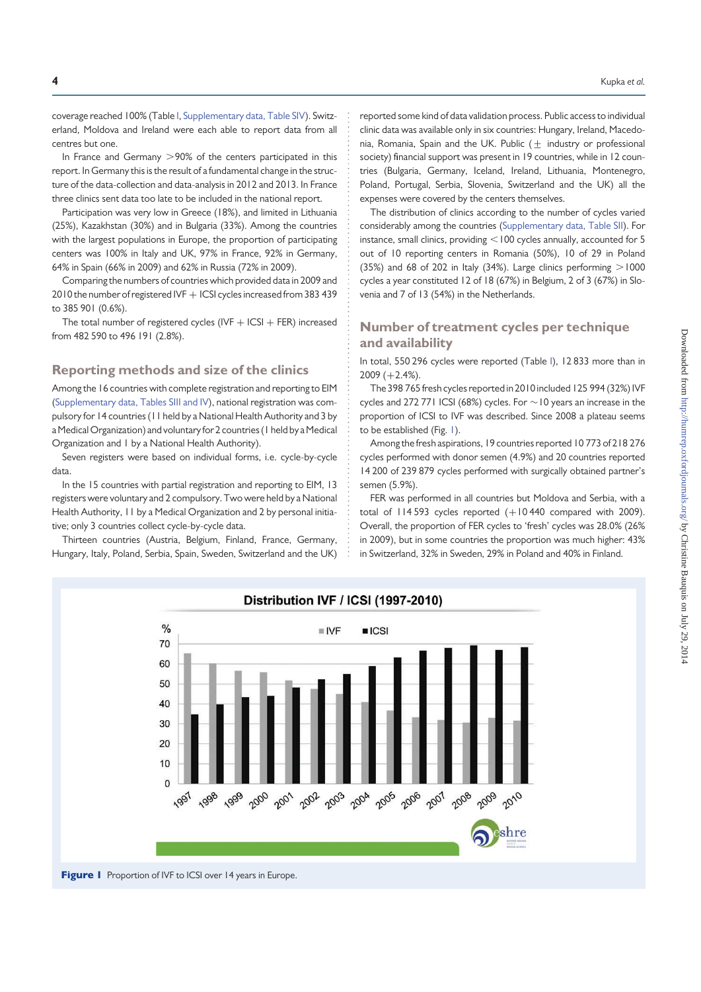coverage reached 100% (Table I, Supplementary data, Table SIV). Switzerland, Moldova and Ireland were each able to report data from all centres but one.

In France and Germany  $>90\%$  of the centers participated in this report. In Germany this is the result of a fundamental change in the structure of the data-collection and data-analysis in 2012 and 2013. In France three clinics sent data too late to be included in the national report.

Participation was very low in Greece (18%), and limited in Lithuania (25%), Kazakhstan (30%) and in Bulgaria (33%). Among the countries with the largest populations in Europe, the proportion of participating centers was 100% in Italy and UK, 97% in France, 92% in Germany, 64% in Spain (66% in 2009) and 62% in Russia (72% in 2009).

Comparing the numbers of countries which provided data in 2009 and 2010 the number of registered IVF + ICSI cycles increased from 383 439 to 385 901 (0.6%).

The total number of registered cycles (IVF  $+$  ICSI  $+$  FER) increased from 482 590 to 496 191 (2.8%).

### Reporting methods and size of the clinics

Among the 16 countries with complete registration and reporting to EIM (Supplementary data, Tables SIII and IV), national registration was compulsory for 14 countries (11 held by a National Health Authority and 3 by a Medical Organization) and voluntary for 2 countries (1 held by a Medical Organization and 1 by a National Health Authority).

Seven registers were based on individual forms, i.e. cycle-by-cycle data.

In the 15 countries with partial registration and reporting to EIM, 13 registers were voluntary and 2 compulsory. Two were held by a National Health Authority, 11 by a Medical Organization and 2 by personal initiative; only 3 countries collect cycle-by-cycle data.

Thirteen countries (Austria, Belgium, Finland, France, Germany, Hungary, Italy, Poland, Serbia, Spain, Sweden, Switzerland and the UK) reported some kind of data validation process. Public access to individual clinic data was available only in six countries: Hungary, Ireland, Macedonia, Romania, Spain and the UK. Public  $(\pm)$  industry or professional society) financial support was present in 19 countries, while in 12 countries (Bulgaria, Germany, Iceland, Ireland, Lithuania, Montenegro, Poland, Portugal, Serbia, Slovenia, Switzerland and the UK) all the expenses were covered by the centers themselves.

The distribution of clinics according to the number of cycles varied considerably among the countries (Supplementary data, Table SII). For instance, small clinics, providing  $<$  100 cycles annually, accounted for 5 out of 10 reporting centers in Romania (50%), 10 of 29 in Poland (35%) and 68 of 202 in Italy (34%). Large clinics performing  $>1000$ cycles a year constituted 12 of 18 (67%) in Belgium, 2 of 3 (67%) in Slovenia and 7 of 13 (54%) in the Netherlands.

### Number of treatment cycles per technique and availability

In total, 550 296 cycles were reported (Table I), 12 833 more than in  $2009 (+2.4\%).$ 

The 398 765 fresh cycles reported in 2010 included 125 994 (32%) IVF cycles and 272 771 ICSI (68%) cycles. For  $\sim$  10 years an increase in the proportion of ICSI to IVF was described. Since 2008 a plateau seems to be established (Fig. 1).

Among the fresh aspirations, 19 countries reported 10 773 of 218 276 cycles performed with donor semen (4.9%) and 20 countries reported 14 200 of 239 879 cycles performed with surgically obtained partner's semen (5.9%).

FER was performed in all countries but Moldova and Serbia, with a total of  $114 593$  cycles reported  $(+10 440$  compared with 2009). Overall, the proportion of FER cycles to 'fresh' cycles was 28.0% (26% in 2009), but in some countries the proportion was much higher: 43% in Switzerland, 32% in Sweden, 29% in Poland and 40% in Finland.



### Figure 1 Proportion of IVF to ICSI over 14 years in Europe.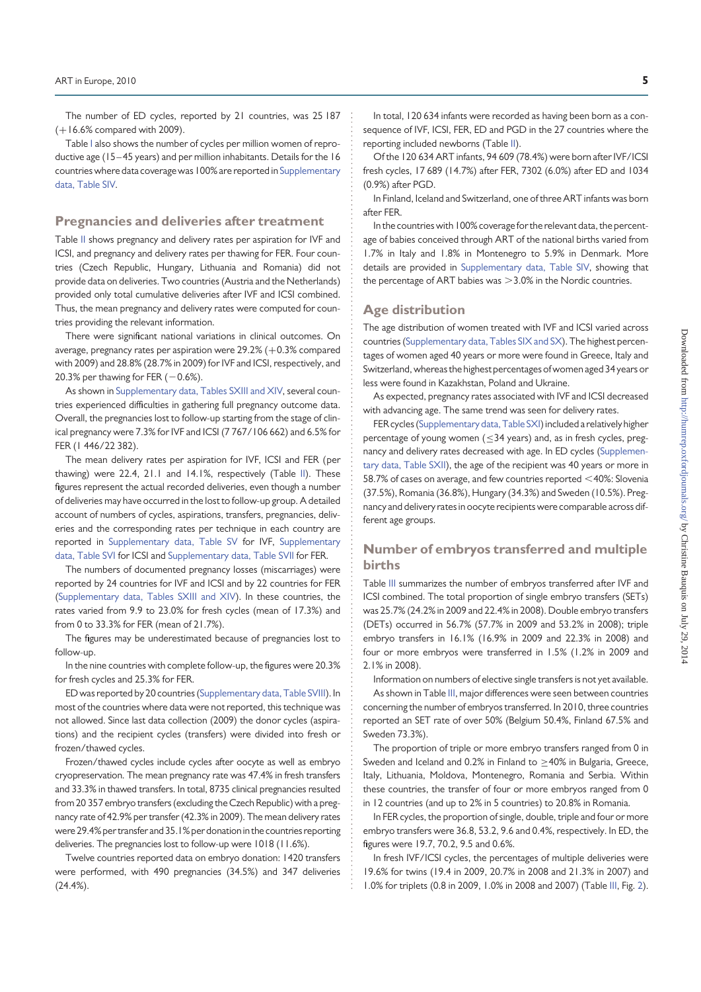The number of ED cycles, reported by 21 countries, was 25 187 (+16.6% compared with 2009).

Table I also shows the number of cycles per million women of reproductive age (15–45 years) and per million inhabitants. Details for the 16 countries where data coverage was 100% are reported in Supplementary data, Table SIV.

### Pregnancies and deliveries after treatment

Table II shows pregnancy and delivery rates per aspiration for IVF and ICSI, and pregnancy and delivery rates per thawing for FER. Four countries (Czech Republic, Hungary, Lithuania and Romania) did not provide data on deliveries. Two countries (Austria and the Netherlands) provided only total cumulative deliveries after IVF and ICSI combined. Thus, the mean pregnancy and delivery rates were computed for countries providing the relevant information.

There were significant national variations in clinical outcomes. On average, pregnancy rates per aspiration were  $29.2\%$  ( $+0.3\%$  compared with 2009) and 28.8% (28.7% in 2009) for IVF and ICSI, respectively, and 20.3% per thawing for FER  $(-0.6%)$ .

As shown in Supplementary data, Tables SXIII and XIV, several countries experienced difficulties in gathering full pregnancy outcome data. Overall, the pregnancies lost to follow-up starting from the stage of clinical pregnancy were 7.3% for IVF and ICSI (7 767/106 662) and 6.5% for FER (1 446/22 382).

The mean delivery rates per aspiration for IVF, ICSI and FER (per thawing) were 22.4, 21.1 and 14.1%, respectively (Table II). These figures represent the actual recorded deliveries, even though a number of deliveries may have occurred in the lost to follow-up group. A detailed account of numbers of cycles, aspirations, transfers, pregnancies, deliveries and the corresponding rates per technique in each country are reported in Supplementary data, Table SV for IVF, Supplementary data, Table SVI for ICSI and Supplementary data, Table SVII for FER.

The numbers of documented pregnancy losses (miscarriages) were reported by 24 countries for IVF and ICSI and by 22 countries for FER (Supplementary data, Tables SXIII and XIV). In these countries, the rates varied from 9.9 to 23.0% for fresh cycles (mean of 17.3%) and from 0 to 33.3% for FER (mean of 21.7%).

The figures may be underestimated because of pregnancies lost to follow-up.

In the nine countries with complete follow-up, the figures were 20.3% for fresh cycles and 25.3% for FER.

ED was reported by 20 countries (Supplementary data, Table SVIII). In most of the countries where data were not reported, this technique was not allowed. Since last data collection (2009) the donor cycles (aspirations) and the recipient cycles (transfers) were divided into fresh or frozen/thawed cycles.

Frozen/thawed cycles include cycles after oocyte as well as embryo cryopreservation. The mean pregnancy rate was 47.4% in fresh transfers and 33.3% in thawed transfers. In total, 8735 clinical pregnancies resulted from 20 357 embryo transfers (excluding the Czech Republic) with a pregnancy rate of 42.9% per transfer (42.3% in 2009). The mean delivery rates were 29.4% per transfer and 35.1% per donation in the countries reporting deliveries. The pregnancies lost to follow-up were 1018 (11.6%).

Twelve countries reported data on embryo donation: 1420 transfers were performed, with 490 pregnancies (34.5%) and 347 deliveries (24.4%).

In total, 120 634 infants were recorded as having been born as a consequence of IVF, ICSI, FER, ED and PGD in the 27 countries where the reporting included newborns (Table II).

Of the 120 634 ART infants, 94 609 (78.4%) were born after IVF/ICSI fresh cycles, 17 689 (14.7%) after FER, 7302 (6.0%) after ED and 1034 (0.9%) after PGD.

In Finland, Iceland and Switzerland, one of three ART infants was born after FER.

In the countries with 100% coverage for the relevant data, the percentage of babies conceived through ART of the national births varied from 1.7% in Italy and 1.8% in Montenegro to 5.9% in Denmark. More details are provided in Supplementary data, Table SIV, showing that the percentage of ART babies was  $>3.0\%$  in the Nordic countries.

### Age distribution

The age distribution of women treated with IVF and ICSI varied across countries (Supplementary data, Tables SIX and SX). The highest percentages of women aged 40 years or more were found in Greece, Italy and Switzerland, whereas the highest percentages of women aged 34 years or less were found in Kazakhstan, Poland and Ukraine.

As expected, pregnancy rates associated with IVF and ICSI decreased with advancing age. The same trend was seen for delivery rates.

FER cycles (Supplementary data, Table SXI) included a relativelyhigher percentage of young women ( $\leq$ 34 years) and, as in fresh cycles, pregnancy and delivery rates decreased with age. In ED cycles (Supplementary data, Table SXII), the age of the recipient was 40 years or more in 58.7% of cases on average, and few countries reported  $<$  40%: Slovenia (37.5%), Romania (36.8%), Hungary (34.3%) and Sweden (10.5%). Pregnancy and delivery rates in oocyte recipients were comparable across different age groups.

### Number of embryos transferred and multiple births

Table III summarizes the number of embryos transferred after IVF and ICSI combined. The total proportion of single embryo transfers (SETs) was 25.7% (24.2% in 2009 and 22.4% in 2008). Double embryo transfers (DETs) occurred in 56.7% (57.7% in 2009 and 53.2% in 2008); triple embryo transfers in 16.1% (16.9% in 2009 and 22.3% in 2008) and four or more embryos were transferred in 1.5% (1.2% in 2009 and 2.1% in 2008).

Information on numbers of elective single transfers is not yet available. As shown in Table III, major differences were seen between countries concerning the number of embryos transferred. In 2010, three countries reported an SET rate of over 50% (Belgium 50.4%, Finland 67.5% and Sweden 73.3%).

The proportion of triple or more embryo transfers ranged from 0 in Sweden and Iceland and 0.2% in Finland to  $\geq$ 40% in Bulgaria, Greece, Italy, Lithuania, Moldova, Montenegro, Romania and Serbia. Within these countries, the transfer of four or more embryos ranged from 0 in 12 countries (and up to 2% in 5 countries) to 20.8% in Romania.

In FER cycles, the proportion of single, double, triple and four or more embryo transfers were 36.8, 53.2, 9.6 and 0.4%, respectively. In ED, the figures were 19.7, 70.2, 9.5 and 0.6%.

In fresh IVF/ICSI cycles, the percentages of multiple deliveries were 19.6% for twins (19.4 in 2009, 20.7% in 2008 and 21.3% in 2007) and 1.0% for triplets (0.8 in 2009, 1.0% in 2008 and 2007) (Table III, Fig. 2).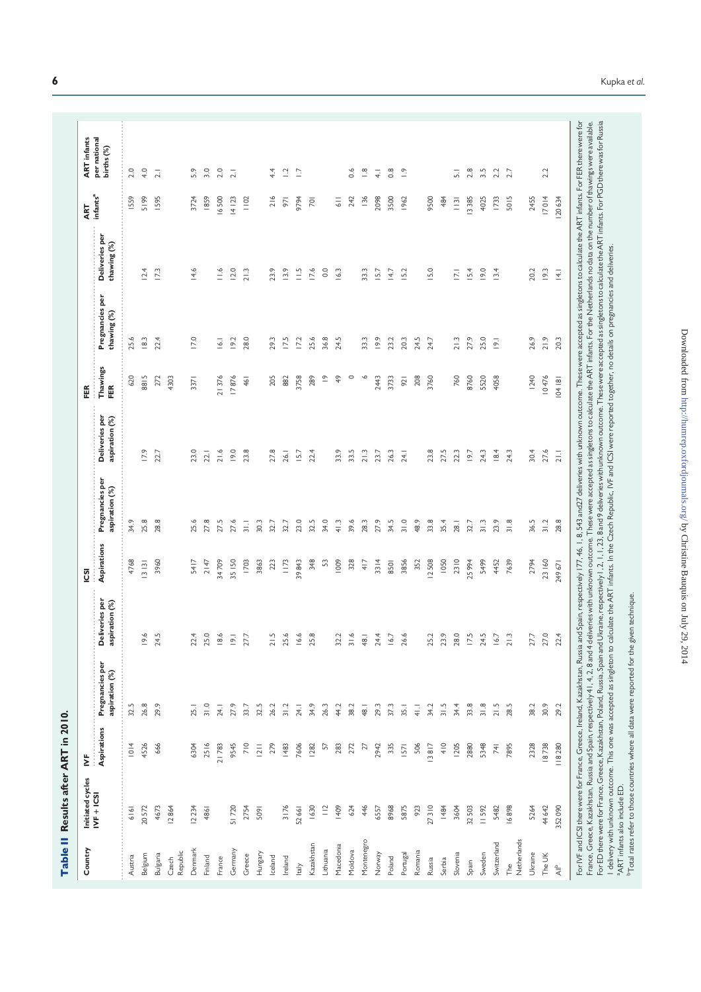Table II Results after ART in 2010. Table II Results after ART in 2010.

| Country            | Initiated cycles                         | ₿                 |                                                                                                         |                                  | <b>S</b>    |                                                                                                                                                                                                                                                                                                                                                                                                                                                                  |                                  | FER             |                                |                               | ART                  | <b>ART</b> infants         |
|--------------------|------------------------------------------|-------------------|---------------------------------------------------------------------------------------------------------|----------------------------------|-------------|------------------------------------------------------------------------------------------------------------------------------------------------------------------------------------------------------------------------------------------------------------------------------------------------------------------------------------------------------------------------------------------------------------------------------------------------------------------|----------------------------------|-----------------|--------------------------------|-------------------------------|----------------------|----------------------------|
|                    | $NF + ICS$                               | Aspirations       | Pregnancies per<br>aspiration (%)                                                                       | Deliveries per<br>aspiration (%) | Aspirations | Pregnancies per<br>aspiration (%)                                                                                                                                                                                                                                                                                                                                                                                                                                | Deliveries per<br>aspiration (%) | Thawings<br>FER | Pregnancies per<br>thawing (%) | Deliveries per<br>thawing (%) | infants <sup>a</sup> | per national<br>births (%) |
| Austria            | 6161                                     | 1014              | 32.5                                                                                                    |                                  | 4768        | 34.9                                                                                                                                                                                                                                                                                                                                                                                                                                                             |                                  | 620             | 25.6                           |                               | 1559                 | 2.0                        |
| Belgium            | 20572                                    | 4526              | 26.8                                                                                                    | $\mathsf{O}$<br>흐                | 13131       | 25.8                                                                                                                                                                                                                                                                                                                                                                                                                                                             | 17.9                             | 8815            | 18.3                           | 12.4                          | 5199                 | 4.0                        |
| Bulgaria           | 4673                                     | 666               | 29.9                                                                                                    | Б<br>24.                         | 3960        | 28.8                                                                                                                                                                                                                                                                                                                                                                                                                                                             | 22.7                             | 272             | 22.4                           | 17.3                          | <b>1595</b>          | $\overline{2}$ .           |
| Republic<br>Czech  | 12864                                    |                   |                                                                                                         |                                  |             |                                                                                                                                                                                                                                                                                                                                                                                                                                                                  |                                  | 4303            |                                |                               |                      |                            |
| Denmark            | 12234                                    | 6304              | 25.1                                                                                                    | 22                               | 5417        | 25.6                                                                                                                                                                                                                                                                                                                                                                                                                                                             | 23.0                             | 3371            | 17.0                           | 14.6                          | 3724                 | 5.9                        |
| Finland            | 4861                                     | 2516              | 31.0                                                                                                    | $\circ$<br>25.                   | 2147        | 27.8                                                                                                                                                                                                                                                                                                                                                                                                                                                             | 22.1                             |                 |                                |                               | 1859                 | 3.0                        |
| France             |                                          | 21783             | 24.1                                                                                                    | $\overline{8}$                   | 34709       | 27.5                                                                                                                                                                                                                                                                                                                                                                                                                                                             | 21.6                             | 21376           | 16.1                           | $\frac{1}{6}$                 | 16500                | 2.0                        |
| Germany            | 51720                                    | 9545              | 27.9                                                                                                    | $\overline{Q}$                   | 35   50     | 27.6                                                                                                                                                                                                                                                                                                                                                                                                                                                             | 9.0                              | 17876           | 19.2                           | 12.0                          | 14123                | $\overline{2.1}$           |
| Greece             | 2754                                     | 710               | 33.7                                                                                                    | 27.                              | <b>1703</b> | $\frac{1}{2}$                                                                                                                                                                                                                                                                                                                                                                                                                                                    | 23.8                             | 461             | 28.0                           | 21.3                          | 1102                 |                            |
| Hungary            | 5091                                     | $\overline{2}$ ll | 32.5                                                                                                    |                                  | 3863        | 30.3                                                                                                                                                                                                                                                                                                                                                                                                                                                             |                                  |                 |                                |                               |                      |                            |
| Iceland            |                                          | 279               | 26.2                                                                                                    | $\overline{a}$                   | 223         | 32.7                                                                                                                                                                                                                                                                                                                                                                                                                                                             | 27.8                             | 205             | 29.3                           | 23.9                          | 216                  | 44                         |
| Ireland            | 3176                                     | 1483              | 31.2                                                                                                    | 25.                              | 1173        | 32.7                                                                                                                                                                                                                                                                                                                                                                                                                                                             | 26.1                             | 882             | 17.5                           | 13.9                          | 971                  | $\Xi$                      |
| Italy              | 52 66 1                                  | 7606              | 24.1                                                                                                    | ⊻ٰ                               | 39843       | 23.0                                                                                                                                                                                                                                                                                                                                                                                                                                                             | 15.7                             | 3758            | 17.2                           | $\frac{1}{2}$                 | 9794                 | Ξ                          |
| Kazakhstan         | 1630                                     | 1282              | 34.9                                                                                                    | 25                               | 348         | 32.5                                                                                                                                                                                                                                                                                                                                                                                                                                                             | 22.4                             | 289             | 25.6                           | 17.6                          | $\overline{2}$       |                            |
| Lithuania          | $\frac{12}{1}$                           | $\approx$         | 26.3                                                                                                    |                                  | 53          | 34.0                                                                                                                                                                                                                                                                                                                                                                                                                                                             |                                  | $\overline{C}$  | 36.8                           | 0.0                           |                      |                            |
| Macedonia          | 1409                                     | 283               | 44.2                                                                                                    | $\sim$<br>$\approx$              | 1009        | 41.3                                                                                                                                                                                                                                                                                                                                                                                                                                                             | 33.9                             | $\frac{6}{7}$   | 24.5                           | 16.3                          | $\frac{1}{6}$        |                            |
| Moldova            | 624                                      | 272               | 38.2                                                                                                    | $\frac{1}{2}$                    | 328         | 39.6                                                                                                                                                                                                                                                                                                                                                                                                                                                             | 33.5                             | $\circ$         |                                |                               | 242                  | $\delta$                   |
| Montenegro         | 446                                      | $\overline{z}$    | 48.1                                                                                                    | 48.                              | 417         | 28.3                                                                                                                                                                                                                                                                                                                                                                                                                                                             | 21.3                             | $\circ$         | 33.3                           | 33.3                          | 136                  | $\frac{\infty}{\infty}$    |
| Norway             | 6557                                     | 2942              | 29.3                                                                                                    | 24.                              | 3314        | 27.9                                                                                                                                                                                                                                                                                                                                                                                                                                                             | 23.7                             | 2443            | 9.9                            | 15.7                          | 2098                 | $\overline{+}$             |
| Poland             | 8968                                     | 335               | 37.3                                                                                                    | $\leq$                           | 8501        | 34.5                                                                                                                                                                                                                                                                                                                                                                                                                                                             | 26.3                             | 3733            | 23.2                           | 14.7                          | 3500                 | $\frac{8}{2}$              |
| Portugal           | 5875                                     | 1571              | 35.1                                                                                                    | 26.                              | 3856        | 31.0                                                                                                                                                                                                                                                                                                                                                                                                                                                             | 24.1                             | 921             | 20.3                           | 15.2                          | 1962                 | $\tilde{c}$                |
| Romania            | 923                                      | 506               | $\frac{1}{4}$                                                                                           |                                  | 352         | 48.9                                                                                                                                                                                                                                                                                                                                                                                                                                                             |                                  | 208             | 24.5                           |                               |                      |                            |
| Russia             | 27310                                    | 13817             | 34.2                                                                                                    | $\sim$<br>25.                    | 12508       | 33.8                                                                                                                                                                                                                                                                                                                                                                                                                                                             | 23.8                             | 3760            | 24.7                           | 15.0                          | 9500                 |                            |
| Serbia             | 1484                                     | 410               | 31.5                                                                                                    | Ō.<br>23.                        | 1050        | 35.4                                                                                                                                                                                                                                                                                                                                                                                                                                                             | 27.5                             |                 |                                |                               | 484                  |                            |
| Slovenia           | 3604                                     | <b>1205</b>       | 34.4                                                                                                    | $\circ$<br>28.                   | 2310        | 28.1                                                                                                                                                                                                                                                                                                                                                                                                                                                             | 22.3                             | 760             | 21.3                           | $\overline{2}$                | $\frac{13}{2}$       | 5                          |
| Spain              | 32503                                    | 2880              | 33.8                                                                                                    | $\sqrt{ }$<br>E.                 | 25994       | 32.7                                                                                                                                                                                                                                                                                                                                                                                                                                                             | 19.7                             | 8760            | 27.9                           | 15.4                          | 13385                | 2.8                        |
| Sweden             | 11592                                    | 5348              | 31.8                                                                                                    | $\sqrt{ }$<br>24.                | 5499        | $\frac{3}{3}$                                                                                                                                                                                                                                                                                                                                                                                                                                                    | 24.3                             | 5520            | 25.0                           | 19.0                          | 4025                 | 3.5                        |
| Switzerland        | 5482                                     | 741               | 21.5                                                                                                    | $\leq$                           | 4452        | 23.9                                                                                                                                                                                                                                                                                                                                                                                                                                                             | 18.4                             | 4058            | $\overline{9}$ .               | 13.4                          | 1733                 | 2.2                        |
| Netherlands<br>The | 16898                                    | 7895              | 28.5                                                                                                    | $\sim$<br>$\overline{z}$         | 7639        | 31.8                                                                                                                                                                                                                                                                                                                                                                                                                                                             | 24.3                             |                 |                                |                               | 5015                 | 2.7                        |
| Ukraine            | 5264                                     | 2328              | 38.2                                                                                                    | Ŋ<br>27                          | 2794        | 36.5                                                                                                                                                                                                                                                                                                                                                                                                                                                             | 30.4                             | 1240            | 26.9                           | 20.2                          | 2455                 |                            |
| The UK             | 44 642                                   | 18738             | 30.9                                                                                                    | $\circ$<br>$\overline{27}$       | 23 160      | 31.2                                                                                                                                                                                                                                                                                                                                                                                                                                                             | 27.6                             | 10476           | 21.9                           | 19.3                          | 17014                | 2.2                        |
| $\overline{4}$     | 352090                                   | 118280            | 29.2                                                                                                    | 4<br>22                          | 249671      | 28.8                                                                                                                                                                                                                                                                                                                                                                                                                                                             | 21.1                             | 104181          | 20.3                           | $\overline{4}$                | 120634               |                            |
|                    |                                          |                   |                                                                                                         |                                  |             | For IVF and ICSI there were for France, Greece, Ireland, Kazakhstan, Russia and Spain, respectively 17, 46, 1, 8, 543 and27 deliveries with unknown outcome. These were accepted as singletons to calculate the ART infants.                                                                                                                                                                                                                                     |                                  |                 |                                |                               |                      |                            |
|                    |                                          |                   |                                                                                                         |                                  |             | For ED there were for France, Greece, Kazakhstan, Poland, Russia, Spain and Ukraine, respectively 1, 2,1, 23, 8 and 9 deliveries with unknown outcome. These were accepted as singletons to calculate the ART infants. For PGD<br>France, Greece, Kazakhstan, Russia and Spain, respectively 41. 4, 2, 8 and 4 deliveries with unknown outcome. These were accepted as singletons to calculate the ART infants. For the Netherlands no data on the number of tha |                                  |                 |                                |                               |                      |                            |
|                    | <sup>a</sup> ART infants also include ED |                   | I delivery with unknown outcome. This one was accepted as singleton to ca                               |                                  |             | Iculate the ART infants. In the Czech Republic, IVF and ICSI were reported together, no details on pregnancies and deliveries.                                                                                                                                                                                                                                                                                                                                   |                                  |                 |                                |                               |                      |                            |
|                    |                                          |                   | <sup>b</sup> Total rates refer to those countries where all data were reported for the given technique. |                                  |             |                                                                                                                                                                                                                                                                                                                                                                                                                                                                  |                                  |                 |                                |                               |                      |                            |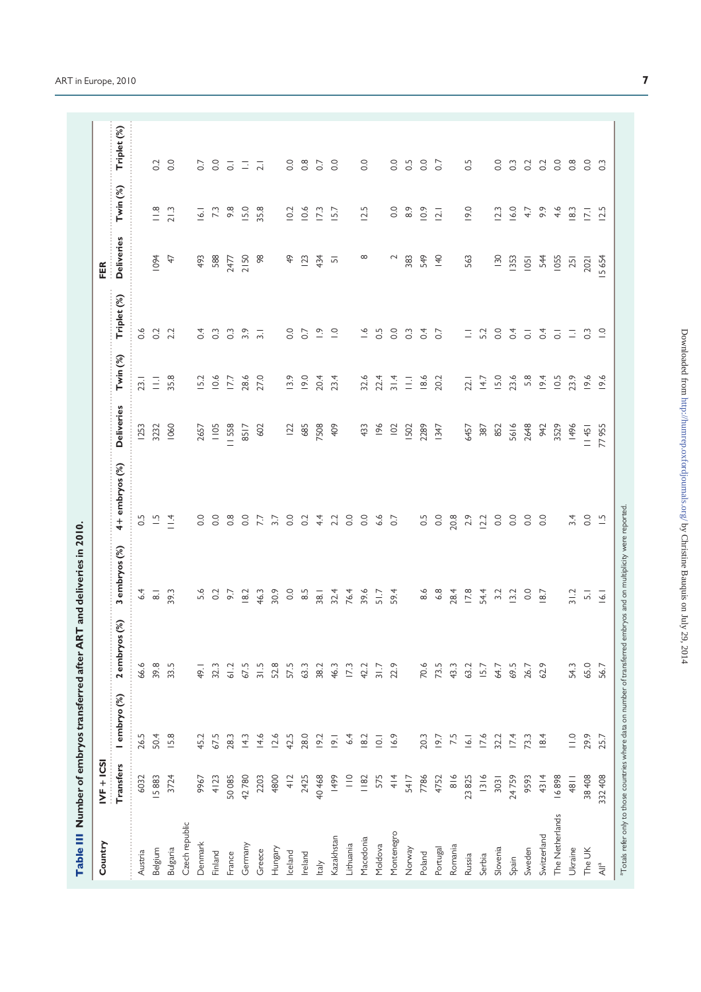|                                                               |               |                     | Table III Number of embryos transferred after ART and deliveries in 2010.                                                       |                    |                          |                   |                     |                         |                   |                  |                  |
|---------------------------------------------------------------|---------------|---------------------|---------------------------------------------------------------------------------------------------------------------------------|--------------------|--------------------------|-------------------|---------------------|-------------------------|-------------------|------------------|------------------|
| Country                                                       | $IVF + ICS$   |                     |                                                                                                                                 |                    |                          |                   |                     |                         | FER               |                  |                  |
|                                                               | Transfers     | I embryo (%)        | 2 embryos (%)                                                                                                                   | 3 embryos (%)      | 4+ embryos (%)           | <b>Deliveries</b> | Twin <sup>(%)</sup> | Triplet (%)             | <b>Deliveries</b> | Twin (%)         | Triplet (%)      |
| Austria                                                       | 6032          | 26.5                | 66.6                                                                                                                            | 6.4                | 0.5                      | <b>1253</b>       | 23.1                | 0.6                     |                   |                  |                  |
| Belgium                                                       | 15883         | 50.4                | 39.8                                                                                                                            | $\overline{\circ}$ | $\overline{a}$           | 3232              | $\Xi$               | 0.2                     | 1094              | $\frac{8}{11}$   | 0.2              |
| Bulgaria                                                      | 3724          | 15.8                | 33.5                                                                                                                            | 39.3               | $\frac{4}{14}$           | 1060              | 35.8                | 2.2                     | $\overline{4}$    | 21.3             | 0.0              |
| Czech republic                                                |               |                     |                                                                                                                                 |                    |                          |                   |                     |                         |                   |                  |                  |
| Denmark                                                       | 9967          | 45.2                | 49.1                                                                                                                            | 5.6                | $\overline{0}$ .         | 2657              | 15.2                | 0.4                     | 493               | 16.1             | 0.7              |
| Finland                                                       | 4123          | 67.5                | 32.3                                                                                                                            | 0.2                | 0.0                      | 1105              | 10.6                | $\frac{3}{2}$           | 588               | 73               | 0.0              |
| France                                                        | 50085         | 28.3                | 61.2                                                                                                                            | 5.6                | 0.8                      | II 558            | 177                 | $\degree$               | 2477              | $9.\overline{8}$ | $\overline{c}$   |
| Germany                                                       | 42780         | $\frac{3}{4}$       | 67.5                                                                                                                            | 18.2               | 0.0                      | 8517              | 28.6                | 3.9                     | 2150              | 15.0             | $\Xi$            |
| Greece                                                        | 2203          | 14.6                | 31.5                                                                                                                            | 46.3               | 7.7                      | 602               | 27.0                | $\overline{3}$ .        | 98                | 35.8             | $\overline{2.1}$ |
| Hungary                                                       | 4800          | 12.6                | 52.8                                                                                                                            | 30.9               | 3.7                      |                   |                     |                         |                   |                  |                  |
| Iceland                                                       | 412           | 42.5                | 57.5                                                                                                                            | 0.0                | 0.0                      | $\overline{2}$    | 13.9                | 0.0                     | $\frac{1}{4}$     | 10.2             | 0.0              |
| Ireland                                                       | 2425          | 28.0                | 63.3                                                                                                                            | $\frac{5}{8}$      | 0.2                      | 685               | 19.0                | 0.7                     | 123               | 10.6             | $0.\overline{8}$ |
| ltaly                                                         | 40468         | 19.2                | 38.2                                                                                                                            | 38.1               | $4\overline{4}$          | 7508              | 20.4                | $\frac{\infty}{\cdot}$  | 434               | 173              | 0.7              |
| Kazakhstan                                                    | 1499          | 19.1                | 46.3                                                                                                                            | 32.4               | 2.2                      | 409               | 23.4                | $\overline{a}$          | $\overline{5}$    | 15.7             | $\overline{0}$ . |
| Lithuania                                                     | $\frac{1}{1}$ | 6.4                 | 17.3                                                                                                                            | 76.4               | $\overline{0}$ .         |                   |                     |                         |                   |                  |                  |
| Macedonia                                                     | 1182          | 18.2                | 42.2                                                                                                                            | 39.6               | 0.0                      | 433               | 32.6                | $\frac{6}{1}$           | $\infty$          | 12.5             | 0.0              |
| Moldova                                                       | 575           | $\overline{\Omega}$ | 31.7                                                                                                                            | 51.7               | 6.6                      | 96                | 22.4                | 0.5                     |                   |                  |                  |
| Montenegro                                                    | 414           | 16.9                | 22.9                                                                                                                            | 59.4               | 0.7                      | 102               | 31.4                | 0.0                     | $\sim$            | 0.0              | 0.0              |
| Norway                                                        | 5417          |                     |                                                                                                                                 |                    |                          | 502               | Ξ                   | $\degree$               | 383               | $\frac{8}{3}$    | 0.5              |
| Poland                                                        | 7786          | 20.3                | 70.6                                                                                                                            | $\frac{6}{8}$      | 0.5                      | 2289              | 18.6                | 0.4                     | 549               | 0.9              | 0.0              |
| Portugal                                                      | 4752          | 19.7                | 73.5                                                                                                                            | 6.8                | 0.0                      | 1347              | 20.2                | 0.7                     | $\overline{40}$   | $\overline{2}$   | 0.7              |
| Romania                                                       | $\frac{8}{6}$ | 7.5                 | 43.3                                                                                                                            | 28.4               | 20.8                     |                   |                     |                         |                   |                  |                  |
| Russia                                                        | 23825         | 16.1                | 63.2                                                                                                                            | 17.8               | 2.9                      | 6457              | 22.1                | $\overline{\mathbb{D}}$ | 563               | 19.0             | 0.5              |
| Serbia                                                        | 1316          | 17.6                | 15.7                                                                                                                            | 54.4               | 12.2                     | 387               | 14.7                | 5.2                     |                   |                  |                  |
| Slovenia                                                      | 3031          | 32.2                | 64.7                                                                                                                            | 3.2                | $\rm ^{0}$               | 852               | 15.0                | $\overline{0}$ .        | $\frac{130}{2}$   | 12.3             | $\overline{0}$ . |
| Spain                                                         | 24759         | 17.4                | 69.5                                                                                                                            | 13.2               | $_{\circ}^{\circ}$       | 5616              | 23.6                | 0.4                     | 1353              | 16.0             | $\frac{3}{2}$    |
| Sweden                                                        | 9593          | 73.3                | 26.7                                                                                                                            | $\rm ^{0}$         | $\overline{0}$ .         | 2648              | 5.8                 | $\overline{\circ}$      | 1051              | 4.7              | 0.2              |
| Switzerland                                                   | 4314          | 18.4                | 62.9                                                                                                                            | 18.7               | 0.0                      | 942               | 19.4                | 0.4                     | 544               | 9.9              | 0.2              |
| The Netherlands                                               | 16898         |                     |                                                                                                                                 |                    |                          | 3529              | 10.5                | $\overline{\circ}$      | <b>1055</b>       | 4.6              | 0.0              |
| Ukraine                                                       | 4811          | $\frac{1}{2}$       | 54.3                                                                                                                            | 31.2               | 3.4                      | 1496              | 23.9                | Ξ                       | 251               | $\approx$        | $0.\overline{8}$ |
| The UK                                                        | 38408         | 29.9                | 65.0                                                                                                                            | $\overline{5}$     | 0.0                      | 11451             | 19.6                | $\frac{3}{2}$           | 2021              | $\overline{2}$   | 0.0              |
| $\overline{\mathsf{A}}\hspace{-0.08cm}\parallel^{\mathsf{a}}$ | 332408        | 25.7                | 56.7                                                                                                                            | $\overline{6}$ .   | $\overline{\phantom{a}}$ | 77955             | 19.6                | $\supseteq$             | 5654              | 12.5             | $\overline{0}$   |
|                                                               |               |                     | <sup>3</sup> Totals refer only to those countries where data on number of transferred embryos and on multiplicity were reported |                    |                          |                   |                     |                         |                   |                  |                  |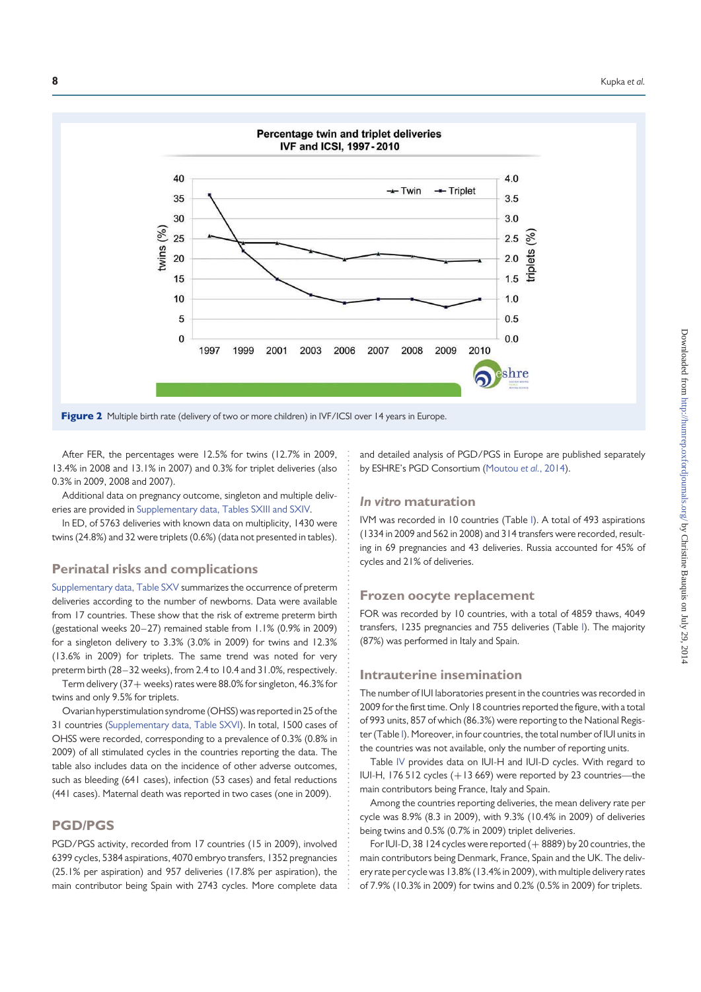

After FER, the percentages were 12.5% for twins (12.7% in 2009, 13.4% in 2008 and 13.1% in 2007) and 0.3% for triplet deliveries (also 0.3% in 2009, 2008 and 2007).

Additional data on pregnancy outcome, singleton and multiple deliveries are provided in Supplementary data, Tables SXIII and SXIV.

In ED, of 5763 deliveries with known data on multiplicity, 1430 were twins (24.8%) and 32 were triplets (0.6%) (data not presented in tables).

### Perinatal risks and complications

Supplementary data, Table SXV summarizes the occurrence of preterm deliveries according to the number of newborns. Data were available from 17 countries. These show that the risk of extreme preterm birth (gestational weeks 20–27) remained stable from 1.1% (0.9% in 2009) for a singleton delivery to 3.3% (3.0% in 2009) for twins and 12.3% (13.6% in 2009) for triplets. The same trend was noted for very preterm birth (28 –32 weeks), from 2.4 to 10.4 and 31.0%, respectively. Term delivery (37+ weeks) rates were 88.0% for singleton, 46.3% for

twins and only 9.5% for triplets.

Ovarian hyperstimulation syndrome (OHSS) was reported in 25 of the 31 countries (Supplementary data, Table SXVI). In total, 1500 cases of OHSS were recorded, corresponding to a prevalence of 0.3% (0.8% in 2009) of all stimulated cycles in the countries reporting the data. The table also includes data on the incidence of other adverse outcomes, such as bleeding (641 cases), infection (53 cases) and fetal reductions (441 cases). Maternal death was reported in two cases (one in 2009).

### PGD/PGS

PGD/PGS activity, recorded from 17 countries (15 in 2009), involved 6399 cycles, 5384 aspirations, 4070 embryo transfers, 1352 pregnancies (25.1% per aspiration) and 957 deliveries (17.8% per aspiration), the main contributor being Spain with 2743 cycles. More complete data

and detailed analysis of PGD/PGS in Europe are published separately by ESHRE's PGD Consortium (Moutou et al., 2014).

### In vitro maturation

IVM was recorded in 10 countries (Table I). A total of 493 aspirations (1334 in 2009 and 562 in 2008) and 314 transfers were recorded, resulting in 69 pregnancies and 43 deliveries. Russia accounted for 45% of cycles and 21% of deliveries.

### Frozen oocyte replacement

FOR was recorded by 10 countries, with a total of 4859 thaws, 4049 transfers, 1235 pregnancies and 755 deliveries (Table I). The majority (87%) was performed in Italy and Spain.

### Intrauterine insemination

The number of IUI laboratories present in the countries was recorded in 2009 for the first time. Only 18 countries reported the figure, with a total of 993 units, 857 of which (86.3%) were reporting to the National Register (Table I). Moreover, in four countries, the total number of IUI units in the countries was not available, only the number of reporting units.

Table IV provides data on IUI-H and IUI-D cycles. With regard to IUI-H, 176 512 cycles (+13 669) were reported by 23 countries—the main contributors being France, Italy and Spain.

Among the countries reporting deliveries, the mean delivery rate per cycle was 8.9% (8.3 in 2009), with 9.3% (10.4% in 2009) of deliveries being twins and 0.5% (0.7% in 2009) triplet deliveries.

For IUI-D, 38 124 cycles were reported  $(+ 8889)$  by 20 countries, the main contributors being Denmark, France, Spain and the UK. The delivery rate per cycle was 13.8% (13.4% in 2009), with multiple delivery rates of 7.9% (10.3% in 2009) for twins and 0.2% (0.5% in 2009) for triplets.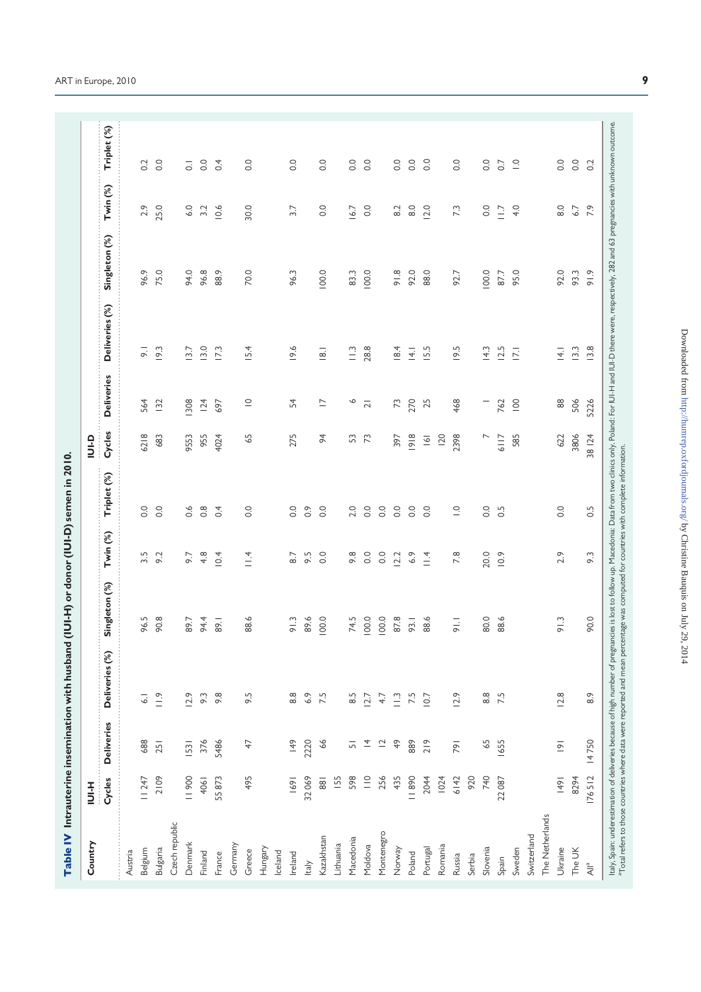| j                                                                                                              |
|----------------------------------------------------------------------------------------------------------------|
|                                                                                                                |
|                                                                                                                |
| こうきょう かんきん アファ                                                                                                 |
|                                                                                                                |
|                                                                                                                |
|                                                                                                                |
| ;<br>;                                                                                                         |
|                                                                                                                |
| - 10 mm - 10 mm - 10 mm - 10 mm - 10 mm - 10 mm - 10 mm - 10 mm - 10 mm - 10 mm - 10 mm - 10 mm - 10 mm - 10 m |
|                                                                                                                |
|                                                                                                                |
|                                                                                                                |
|                                                                                                                |
|                                                                                                                |
| l                                                                                                              |
|                                                                                                                |
|                                                                                                                |
|                                                                                                                |
| <b><i><u><u><u> [</u>]</u></u></i></b>                                                                         |
|                                                                                                                |
|                                                                                                                |
|                                                                                                                |
| $\overline{a}$                                                                                                 |
| ı                                                                                                              |
|                                                                                                                |
|                                                                                                                |
|                                                                                                                |
|                                                                                                                |
|                                                                                                                |
|                                                                                                                |
| → (shanoving transmission one one the transmit<br>j                                                            |
|                                                                                                                |
|                                                                                                                |
|                                                                                                                |
|                                                                                                                |
| l                                                                                                              |
|                                                                                                                |
|                                                                                                                |
| ì                                                                                                              |
|                                                                                                                |
|                                                                                                                |
| ֦֦֧֦֧֦֧֦֧֦֧֦֧֦֧֦֧֦֧֦֧֦֧֚֚֚֚֚֬֝֜                                                                                |
|                                                                                                                |

|                         |                 |                          | Table IV Intrauterine insemination with husband                                                                                                                                                                                                                                                                                                                                   | (IUI-H) or donor (IUI-D) semen in 2010. |                     |                          |                |                          |                    |               |                 |                  |
|-------------------------|-----------------|--------------------------|-----------------------------------------------------------------------------------------------------------------------------------------------------------------------------------------------------------------------------------------------------------------------------------------------------------------------------------------------------------------------------------|-----------------------------------------|---------------------|--------------------------|----------------|--------------------------|--------------------|---------------|-----------------|------------------|
| Country                 | HH<br>D         |                          |                                                                                                                                                                                                                                                                                                                                                                                   |                                         |                     |                          | q-inl          |                          |                    |               |                 |                  |
|                         | Cycles          | <b>Deliveries</b>        | Deliveries (%)                                                                                                                                                                                                                                                                                                                                                                    | Singleton (%)                           | Twin <sup>(%)</sup> | Triplet (%)              | Cycles         | <b>Deliveries</b>        | Deliveries (%)     | Singleton (%) | Twin (%)        | Triplet (%)      |
| Austria                 |                 |                          |                                                                                                                                                                                                                                                                                                                                                                                   |                                         |                     |                          |                |                          |                    |               |                 |                  |
| Belgium                 | 11247           | 688                      | $\overline{\circ}$                                                                                                                                                                                                                                                                                                                                                                | 96.5                                    | $3.\overline{5}$    | $\frac{0}{2}$            | 6218           | 564                      | $\overline{\circ}$ | 96.9          | 2.9             | 0.2              |
| Bulgaria                | 2109            | 251                      | $\frac{1}{2}$                                                                                                                                                                                                                                                                                                                                                                     | 90.8                                    | 9.2                 | $\overline{O}$ .         | 683            | 132                      | 19.3               | 75.0          | 25.0            | 0.0              |
| Czech republic          |                 |                          |                                                                                                                                                                                                                                                                                                                                                                                   |                                         |                     |                          |                |                          |                    |               |                 |                  |
| Denmark                 | 11900           | 1531                     | 12.9                                                                                                                                                                                                                                                                                                                                                                              | 89.7                                    | 9.7                 | $\frac{6}{1}$            | 9553           | 308                      | $\overline{3.7}$   | 94.0          | 6.0             | $\overline{c}$   |
| Finland                 | 4061            | 376                      | 9.3                                                                                                                                                                                                                                                                                                                                                                               | 94.4                                    | 4.8                 | $0.\overline{8}$         | 955            | 124                      | 13.0               | 96.8          | 3.2             | $\overline{0}$ . |
| France                  | 55873           | 5486                     | 9.8                                                                                                                                                                                                                                                                                                                                                                               | 89.1                                    | 10.4                | 0.4                      | 4024           | 697                      | 173                | 88.9          | 10.6            | 0.4              |
| Germany                 |                 |                          |                                                                                                                                                                                                                                                                                                                                                                                   |                                         |                     |                          |                |                          |                    |               |                 |                  |
| Greece                  | 495             | 47                       | 9.5                                                                                                                                                                                                                                                                                                                                                                               | 88.6                                    | $\frac{4}{11}$      | $\rm ^{\circ}$           | 59             | $\supseteq$              | 15.4               | 70.0          | 30.0            | $\overline{0}$ . |
| Hungary                 |                 |                          |                                                                                                                                                                                                                                                                                                                                                                                   |                                         |                     |                          |                |                          |                    |               |                 |                  |
| Iceland                 |                 |                          |                                                                                                                                                                                                                                                                                                                                                                                   |                                         |                     |                          |                |                          |                    |               |                 |                  |
| Ireland                 | 69              | 149                      | 8.8                                                                                                                                                                                                                                                                                                                                                                               | 91.3                                    | 8.7                 | $\rm ^{0}$               | 275            | 54                       | 19.6               | 96.3          | 3.7             | $\overline{0}$ . |
| Italy                   | 32069           | 2220                     | 6.9                                                                                                                                                                                                                                                                                                                                                                               | 89.6                                    | 9.5                 | $\overline{O}$           |                |                          |                    |               |                 |                  |
| Kazakhstan              | $\overline{88}$ | 66                       | 7.5                                                                                                                                                                                                                                                                                                                                                                               | 100.0                                   | 0.0                 | $\rm ^{\circ}$           | $\frac{4}{3}$  | $\overline{\phantom{0}}$ | $\overline{8}$     | 100.0         | 0.0             | 0.0              |
| Lithuania               | <b>155</b>      |                          |                                                                                                                                                                                                                                                                                                                                                                                   |                                         |                     |                          |                |                          |                    |               |                 |                  |
| Macedonia               | 598             | $\overline{5}$           | 6.5                                                                                                                                                                                                                                                                                                                                                                               | 74.5                                    | 9.8                 | 2.0                      | 53             | ७                        | $\frac{1}{2}$      | 83.3          | 16.7            | 0.0              |
| Moldova                 | $\equiv$        | $\overline{4}$           | 127                                                                                                                                                                                                                                                                                                                                                                               | 100.0                                   | 0.0                 | 0.0                      | $\mathcal{L}$  | $\overline{2}$           | 28.8               | 100.0         | 0.0             | 0.0              |
| Montenegro              | 256             | $\overline{\phantom{0}}$ | 4.7                                                                                                                                                                                                                                                                                                                                                                               | 100.0                                   | 0.0                 | $\rm ^{\circ}$           |                |                          |                    |               |                 |                  |
| Norway                  | 435             | $\frac{9}{4}$            | $\tilde{=}$                                                                                                                                                                                                                                                                                                                                                                       | 87.8                                    | 12.2                | $\rm ^{\circ}$           | 397            | $\mathcal{L}$            | 18.4               | 91.8          | 8.2             | $\overline{0}$ . |
| Poland                  | 11890           | 889                      | 7.5                                                                                                                                                                                                                                                                                                                                                                               | 93.1                                    | 6.9                 | $\overline{O}$ .         | 918            | 270                      | $\frac{4}{1}$      | 92.0          | 8.0             | $\overline{0}$ . |
| Portugal                | 2044            | 219                      | 10.7                                                                                                                                                                                                                                                                                                                                                                              | 88.6                                    | $\frac{4}{14}$      | $\overline{0}$ .         | $\overline{6}$ | 25                       | I5.5               | 88.0          | 12.0            | 0.0              |
| Romania                 | 1024            |                          |                                                                                                                                                                                                                                                                                                                                                                                   |                                         |                     |                          | 120            |                          |                    |               |                 |                  |
| Russia                  | 6142            | 791                      | 12.9                                                                                                                                                                                                                                                                                                                                                                              | $=$                                     | 7.8                 | $\overline{\phantom{a}}$ | 2398           | 468                      | 19.5               | 92.7          | 73              | 0.0              |
| Serbia                  | 920             |                          |                                                                                                                                                                                                                                                                                                                                                                                   |                                         |                     |                          |                |                          |                    |               |                 |                  |
| Slovenia                | 740             | 65                       | 8.8                                                                                                                                                                                                                                                                                                                                                                               | 80.0                                    | 20.0                | $\overline{O}$ .         | $\overline{ }$ |                          | 14.3               | 100.0         | 0.0             | 0.0              |
| Spain                   | 22087           | 1655                     | 7.5                                                                                                                                                                                                                                                                                                                                                                               | 88.6                                    | 0.9                 | 0.5                      | 6117           | 762                      | 12.5               | 87.7          | $\overline{11}$ | 0.7              |
| Sweden                  |                 |                          |                                                                                                                                                                                                                                                                                                                                                                                   |                                         |                     |                          | 585            | $\overline{100}$         | $\overline{17.1}$  | 95.0          | 4.0             | $\supseteq$      |
| Switzerland             |                 |                          |                                                                                                                                                                                                                                                                                                                                                                                   |                                         |                     |                          |                |                          |                    |               |                 |                  |
| The Netherlands         |                 |                          |                                                                                                                                                                                                                                                                                                                                                                                   |                                         |                     |                          |                |                          |                    |               |                 |                  |
| Ukraine                 | 49              | $\overline{9}$           | 12.8                                                                                                                                                                                                                                                                                                                                                                              | 91.3                                    | 2.9                 | 0.0                      | 622            | $88$                     | $\overline{4}$ .   | 92.0          | 8.0             | 0.0              |
| The UK                  | 8294            |                          |                                                                                                                                                                                                                                                                                                                                                                                   |                                         |                     |                          | 3806           | 506                      | 13.3               | 93.3          | 6.7             | $\overline{0}$ . |
| $\tilde{A} \parallel^a$ | 176512          | 14750                    | 8.9                                                                                                                                                                                                                                                                                                                                                                               | 90.0                                    | 9.3                 | $0.\overline{5}$         | 38124          | 5226                     | 13.8               | 91.9          | 7.9             | 0.2              |
|                         |                 |                          | ltaly, Spain: underestimation of deliveries because of high number of pregnancies is lost to follow up. Macedonia: Data from two clinics only. Poland: For UI-H and UI-D there were, respectively, 282 and 63 pregnancies with<br><sup>3</sup> Total refers to those countries where data were reported and mean percentage was computed for countries with complete information. |                                         |                     |                          |                |                          |                    |               |                 |                  |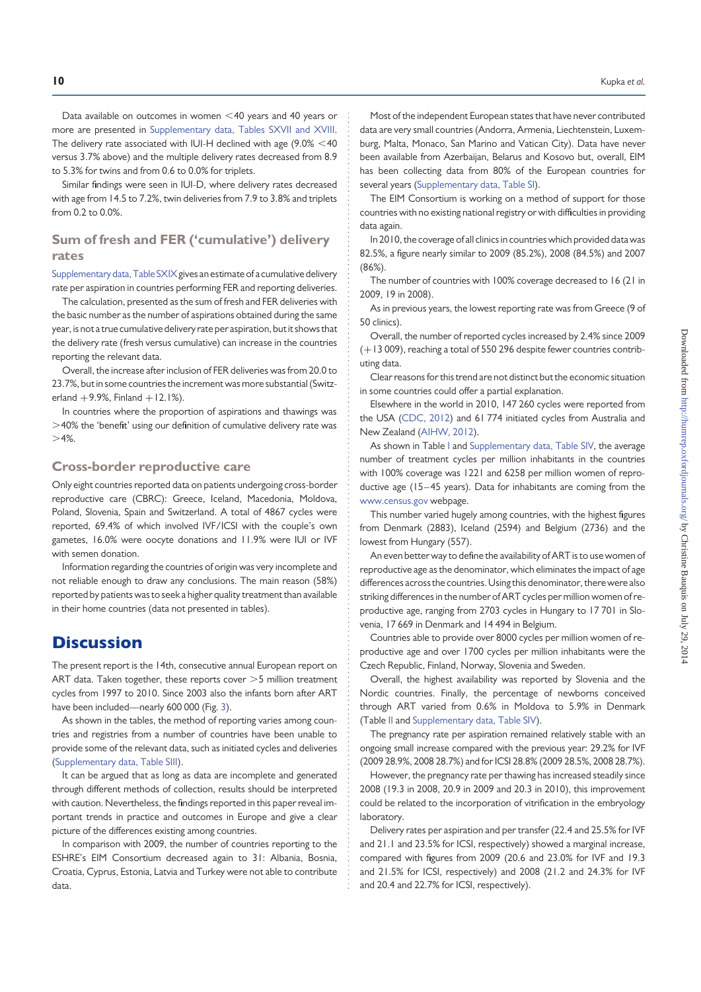Data available on outcomes in women  $\leq$  40 years and 40 years or more are presented in Supplementary data, Tables SXVII and XVIII. The delivery rate associated with IUI-H declined with age  $(9.0\% < 40$ versus 3.7% above) and the multiple delivery rates decreased from 8.9 to 5.3% for twins and from 0.6 to 0.0% for triplets.

Similar findings were seen in IUI-D, where delivery rates decreased with age from 14.5 to 7.2%, twin deliveries from 7.9 to 3.8% and triplets from 0.2 to 0.0%.

### Sum of fresh and FER ('cumulative') delivery rates

Supplementary data, Table SXIX gives an estimate of a cumulative delivery rate per aspiration in countries performing FER and reporting deliveries.

The calculation, presented as the sum of fresh and FER deliveries with the basic number as the number of aspirations obtained during the same year, is not a true cumulative delivery rate per aspiration, but it shows that the delivery rate (fresh versus cumulative) can increase in the countries reporting the relevant data.

Overall, the increase after inclusion of FER deliveries was from 20.0 to 23.7%, but in some countries the increment was more substantial (Switzerland  $+9.9%$ , Finland  $+12.1%$ ).

In countries where the proportion of aspirations and thawings was  $>$ 40% the 'benefit' using our definition of cumulative delivery rate was  $>4\%$ .

### Cross-border reproductive care

Only eight countries reported data on patients undergoing cross-border reproductive care (CBRC): Greece, Iceland, Macedonia, Moldova, Poland, Slovenia, Spain and Switzerland. A total of 4867 cycles were reported, 69.4% of which involved IVF/ICSI with the couple's own gametes, 16.0% were oocyte donations and 11.9% were IUI or IVF with semen donation.

Information regarding the countries of origin was very incomplete and not reliable enough to draw any conclusions. The main reason (58%) reported by patients was to seek a higher quality treatment than available in their home countries (data not presented in tables).

### **Discussion**

The present report is the 14th, consecutive annual European report on ART data. Taken together, these reports cover  $>5$  million treatment cycles from 1997 to 2010. Since 2003 also the infants born after ART have been included—nearly 600 000 (Fig. 3).

As shown in the tables, the method of reporting varies among countries and registries from a number of countries have been unable to provide some of the relevant data, such as initiated cycles and deliveries (Supplementary data, Table SIII).

It can be argued that as long as data are incomplete and generated through different methods of collection, results should be interpreted with caution. Nevertheless, the findings reported in this paper reveal important trends in practice and outcomes in Europe and give a clear picture of the differences existing among countries.

In comparison with 2009, the number of countries reporting to the ESHRE's EIM Consortium decreased again to 31: Albania, Bosnia, Croatia, Cyprus, Estonia, Latvia and Turkey were not able to contribute data.

Most of the independent European states that have never contributed data are very small countries (Andorra, Armenia, Liechtenstein, Luxemburg, Malta, Monaco, San Marino and Vatican City). Data have never been available from Azerbaijan, Belarus and Kosovo but, overall, EIM has been collecting data from 80% of the European countries for several years (Supplementary data, Table SI).

The EIM Consortium is working on a method of support for those countries with no existing national registry or with difficulties in providing data again.

In 2010, the coverage of all clinics in countries which provided data was 82.5%, a figure nearly similar to 2009 (85.2%), 2008 (84.5%) and 2007 (86%).

The number of countries with 100% coverage decreased to 16 (21 in 2009, 19 in 2008).

As in previous years, the lowest reporting rate was from Greece (9 of 50 clinics).

Overall, the number of reported cycles increased by 2.4% since 2009 (+13 009), reaching a total of 550 296 despite fewer countries contributing data.

Clear reasons for this trend are not distinct but the economic situation in some countries could offer a partial explanation.

Elsewhere in the world in 2010, 147 260 cycles were reported from the USA (CDC, 2012) and 61 774 initiated cycles from Australia and New Zealand (AIHW, 2012).

As shown in Table I and Supplementary data, Table SIV, the average number of treatment cycles per million inhabitants in the countries with 100% coverage was 1221 and 6258 per million women of reproductive age (15 –45 years). Data for inhabitants are coming from the www.census.gov webpage.

This number varied hugely among countries, with the highest figures from Denmark (2883), Iceland (2594) and Belgium (2736) and the lowest from Hungary (557).

An even better way to define the availability of ART is to use women of reproductive age as the denominator, which eliminates the impact of age differences across the countries. Using this denominator, therewere also striking differences in the number of ART cycles per million women of reproductive age, ranging from 2703 cycles in Hungary to 17 701 in Slovenia, 17 669 in Denmark and 14 494 in Belgium.

Countries able to provide over 8000 cycles per million women of reproductive age and over 1700 cycles per million inhabitants were the Czech Republic, Finland, Norway, Slovenia and Sweden.

Overall, the highest availability was reported by Slovenia and the Nordic countries. Finally, the percentage of newborns conceived through ART varied from 0.6% in Moldova to 5.9% in Denmark (Table II and Supplementary data, Table SIV).

The pregnancy rate per aspiration remained relatively stable with an ongoing small increase compared with the previous year: 29.2% for IVF (2009 28.9%, 2008 28.7%) and for ICSI 28.8% (2009 28.5%, 2008 28.7%).

However, the pregnancy rate per thawing has increased steadily since 2008 (19.3 in 2008, 20.9 in 2009 and 20.3 in 2010), this improvement could be related to the incorporation of vitrification in the embryology laboratory.

Delivery rates per aspiration and per transfer (22.4 and 25.5% for IVF and 21.1 and 23.5% for ICSI, respectively) showed a marginal increase, compared with figures from 2009 (20.6 and 23.0% for IVF and 19.3 and 21.5% for ICSI, respectively) and 2008 (21.2 and 24.3% for IVF and 20.4 and 22.7% for ICSI, respectively).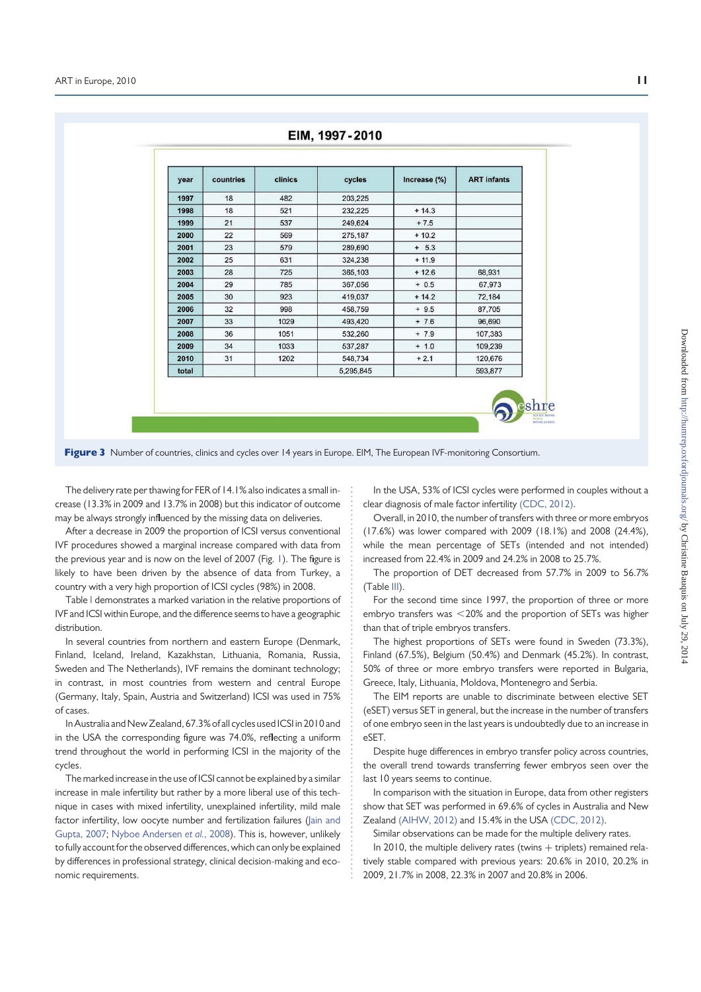| year  | countries | clinics | cycles    | Increase (%) | <b>ART</b> infants |
|-------|-----------|---------|-----------|--------------|--------------------|
| 1997  | 18        | 482     | 203,225   |              |                    |
| 1998  | 18        | 521     | 232,225   | $+14.3$      |                    |
| 1999  | 21        | 537     | 249,624   | $+7.5$       |                    |
| 2000  | 22        | 569     | 275,187   | $+10.2$      |                    |
| 2001  | 23        | 579     | 289,690   | $+ 5.3$      |                    |
| 2002  | 25        | 631     | 324,238   | $+ 11.9$     |                    |
| 2003  | 28        | 725     | 365,103   | $+12.6$      | 68,931             |
| 2004  | 29        | 785     | 367,056   | $+ 0.5$      | 67,973             |
| 2005  | 30        | 923     | 419,037   | $+ 14.2$     | 72,184             |
| 2006  | 32        | 998     | 458,759   | $+9.5$       | 87,705             |
| 2007  | 33        | 1029    | 493,420   | $+ 7.6$      | 96,690             |
| 2008  | 36        | 1051    | 532,260   | $+7.9$       | 107,383            |
| 2009  | 34        | 1033    | 537,287   | $+ 1.0$      | 109,239            |
| 2010  | 31        | 1202    | 548,734   | $+2.1$       | 120,676            |
| total |           |         | 5,295,845 |              | 593,877            |

Figure 3 Number of countries, clinics and cycles over 14 years in Europe. EIM, The European IVF-monitoring Consortium.

The delivery rate per thawing for FER of 14.1% also indicates a small increase (13.3% in 2009 and 13.7% in 2008) but this indicator of outcome may be always strongly influenced by the missing data on deliveries.

After a decrease in 2009 the proportion of ICSI versus conventional IVF procedures showed a marginal increase compared with data from the previous year and is now on the level of 2007 (Fig. 1). The figure is likely to have been driven by the absence of data from Turkey, a country with a very high proportion of ICSI cycles (98%) in 2008.

Table I demonstrates a marked variation in the relative proportions of IVF and ICSI within Europe, and the difference seems to have a geographic distribution.

In several countries from northern and eastern Europe (Denmark, Finland, Iceland, Ireland, Kazakhstan, Lithuania, Romania, Russia, Sweden and The Netherlands), IVF remains the dominant technology; in contrast, in most countries from western and central Europe (Germany, Italy, Spain, Austria and Switzerland) ICSI was used in 75% of cases.

In Australia and NewZealand, 67.3% of all cycles used ICSI in 2010 and in the USA the corresponding figure was 74.0%, reflecting a uniform trend throughout the world in performing ICSI in the majority of the cycles.

The marked increase in the use of ICSI cannot be explained by a similar increase in male infertility but rather by a more liberal use of this technique in cases with mixed infertility, unexplained infertility, mild male factor infertility, low oocyte number and fertilization failures (lain and Gupta, 2007; Nyboe Andersen et al., 2008). This is, however, unlikely to fully account for the observed differences, which can only be explained by differences in professional strategy, clinical decision-making and economic requirements.

In the USA, 53% of ICSI cycles were performed in couples without a clear diagnosis of male factor infertility (CDC, 2012).

Overall, in 2010, the number of transfers with three or more embryos (17.6%) was lower compared with 2009 (18.1%) and 2008 (24.4%), while the mean percentage of SETs (intended and not intended) increased from 22.4% in 2009 and 24.2% in 2008 to 25.7%.

The proportion of DET decreased from 57.7% in 2009 to 56.7% (Table III).

For the second time since 1997, the proportion of three or more embryo transfers was  $<$  20% and the proportion of SETs was higher than that of triple embryos transfers.

The highest proportions of SETs were found in Sweden (73.3%), Finland (67.5%), Belgium (50.4%) and Denmark (45.2%). In contrast, 50% of three or more embryo transfers were reported in Bulgaria, Greece, Italy, Lithuania, Moldova, Montenegro and Serbia.

The EIM reports are unable to discriminate between elective SET (eSET) versus SET in general, but the increase in the number of transfers of one embryo seen in the last years is undoubtedly due to an increase in eSET.

Despite huge differences in embryo transfer policy across countries, the overall trend towards transferring fewer embryos seen over the last 10 years seems to continue.

In comparison with the situation in Europe, data from other registers show that SET was performed in 69.6% of cycles in Australia and New Zealand (AIHW, 2012) and 15.4% in the USA (CDC, 2012).

Similar observations can be made for the multiple delivery rates.

In 2010, the multiple delivery rates (twins  $+$  triplets) remained relatively stable compared with previous years: 20.6% in 2010, 20.2% in 2009, 21.7% in 2008, 22.3% in 2007 and 20.8% in 2006.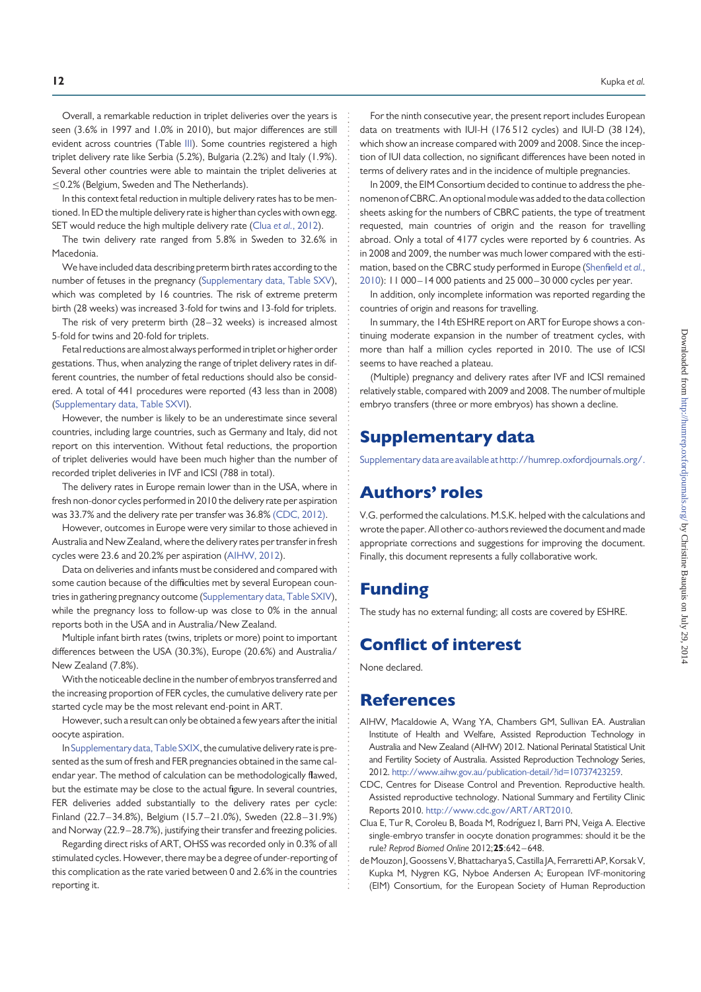Overall, a remarkable reduction in triplet deliveries over the years is seen (3.6% in 1997 and 1.0% in 2010), but major differences are still evident across countries (Table III). Some countries registered a high triplet delivery rate like Serbia (5.2%), Bulgaria (2.2%) and Italy (1.9%). Several other countries were able to maintain the triplet deliveries at ≤0.2% (Belgium, Sweden and The Netherlands).

In this context fetal reduction in multiple delivery rates has to be mentioned. In ED the multiple delivery rate is higher than cycles with own egg. SET would reduce the high multiple delivery rate (Clua et al., 2012).

The twin delivery rate ranged from 5.8% in Sweden to 32.6% in Macedonia.

We have included data describing preterm birth rates according to the number of fetuses in the pregnancy (Supplementary data, Table SXV), which was completed by 16 countries. The risk of extreme preterm birth (28 weeks) was increased 3-fold for twins and 13-fold for triplets.

The risk of very preterm birth (28–32 weeks) is increased almost 5-fold for twins and 20-fold for triplets.

Fetal reductions are almost always performed in triplet or higher order gestations. Thus, when analyzing the range of triplet delivery rates in different countries, the number of fetal reductions should also be considered. A total of 441 procedures were reported (43 less than in 2008) (Supplementary data, Table SXVI).

However, the number is likely to be an underestimate since several countries, including large countries, such as Germany and Italy, did not report on this intervention. Without fetal reductions, the proportion of triplet deliveries would have been much higher than the number of recorded triplet deliveries in IVF and ICSI (788 in total).

The delivery rates in Europe remain lower than in the USA, where in fresh non-donor cycles performed in 2010 the delivery rate per aspiration was 33.7% and the delivery rate per transfer was 36.8% (CDC, 2012).

However, outcomes in Europe were very similar to those achieved in Australia and New Zealand, where the delivery rates per transfer in fresh cycles were 23.6 and 20.2% per aspiration (AIHW, 2012).

Data on deliveries and infants must be considered and compared with some caution because of the difficulties met by several European countries in gathering pregnancy outcome (Supplementary data, Table SXIV), while the pregnancy loss to follow-up was close to 0% in the annual reports both in the USA and in Australia/New Zealand.

Multiple infant birth rates (twins, triplets or more) point to important differences between the USA (30.3%), Europe (20.6%) and Australia/ New Zealand (7.8%).

With the noticeable decline in the number of embryos transferred and the increasing proportion of FER cycles, the cumulative delivery rate per started cycle may be the most relevant end-point in ART.

However, such a result can only be obtained a few years after the initial oocyte aspiration.

In Supplementary data, Table SXIX, the cumulative delivery rate is presented as the sum of fresh and FER pregnancies obtained in the same calendar year. The method of calculation can be methodologically flawed, but the estimate may be close to the actual figure. In several countries, FER deliveries added substantially to the delivery rates per cycle: Finland (22.7–34.8%), Belgium (15.7–21.0%), Sweden (22.8–31.9%) and Norway (22.9–28.7%), justifying their transfer and freezing policies.

Regarding direct risks of ART, OHSS was recorded only in 0.3% of all stimulated cycles. However, there may be a degree of under-reporting of this complication as the rate varied between 0 and 2.6% in the countries reporting it.

For the ninth consecutive year, the present report includes European data on treatments with IUI-H (176 512 cycles) and IUI-D (38 124), which show an increase compared with 2009 and 2008. Since the inception of IUI data collection, no significant differences have been noted in terms of delivery rates and in the incidence of multiple pregnancies.

In 2009, the EIM Consortium decided to continue to address the phenomenon ofCBRC. An optional module was added to the data collection sheets asking for the numbers of CBRC patients, the type of treatment requested, main countries of origin and the reason for travelling abroad. Only a total of 4177 cycles were reported by 6 countries. As in 2008 and 2009, the number was much lower compared with the estimation, based on the CBRC study performed in Europe (Shenfield et al., 2010): 11 000 –14 000 patients and 25 000 –30 000 cycles per year.

In addition, only incomplete information was reported regarding the countries of origin and reasons for travelling.

In summary, the 14th ESHRE report on ART for Europe shows a continuing moderate expansion in the number of treatment cycles, with more than half a million cycles reported in 2010. The use of ICSI seems to have reached a plateau.

(Multiple) pregnancy and delivery rates after IVF and ICSI remained relatively stable, compared with 2009 and 2008. The number of multiple embryo transfers (three or more embryos) has shown a decline.

# Supplementary data

Supplementary data are available athttp://humrep.oxfordjournals.org/.

### Authors' roles

V.G. performed the calculations. M.S.K. helped with the calculations and wrote the paper. All other co-authors reviewed the document and made appropriate corrections and suggestions for improving the document. Finally, this document represents a fully collaborative work.

## Funding

The study has no external funding; all costs are covered by ESHRE.

## Conflict of interest

None declared.

### References

- AIHW, Macaldowie A, Wang YA, Chambers GM, Sullivan EA. Australian Institute of Health and Welfare, Assisted Reproduction Technology in Australia and New Zealand (AIHW) 2012. National Perinatal Statistical Unit and Fertility Society of Australia. Assisted Reproduction Technology Series, 2012. http://www.aihw.gov.au/publication-detail/?id=10737423259.
- CDC, Centres for Disease Control and Prevention. Reproductive health. Assisted reproductive technology. National Summary and Fertility Clinic Reports 2010. http://www.cdc.gov/ART/ART2010.
- Clua E, Tur R, Coroleu B, Boada M, Rodríguez I, Barri PN, Veiga A. Elective single-embryo transfer in oocyte donation programmes: should it be the rule? Reprod Biomed Online 2012;25:642-648.
- de Mouzon J, Goossens V, Bhattacharya S, Castilla JA, Ferraretti AP, Korsak V, Kupka M, Nygren KG, Nyboe Andersen A; European IVF-monitoring (EIM) Consortium, for the European Society of Human Reproduction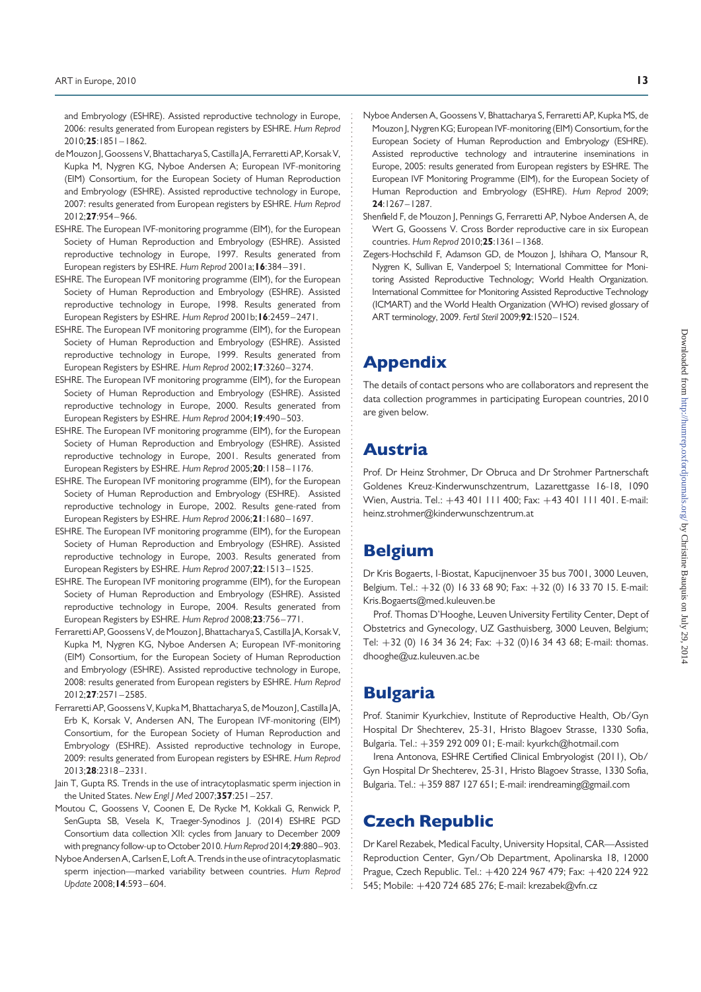and Embryology (ESHRE). Assisted reproductive technology in Europe, 2006: results generated from European registers by ESHRE. Hum Reprod 2010;25:1851 – 1862.

- de Mouzon J, Goossens V, Bhattacharya S, Castilla JA, Ferraretti AP, Korsak V, Kupka M, Nygren KG, Nyboe Andersen A; European IVF-monitoring (EIM) Consortium, for the European Society of Human Reproduction and Embryology (ESHRE). Assisted reproductive technology in Europe, 2007: results generated from European registers by ESHRE. Hum Reprod 2012;27:954 – 966.
- ESHRE. The European IVF-monitoring programme (EIM), for the European Society of Human Reproduction and Embryology (ESHRE). Assisted reproductive technology in Europe, 1997. Results generated from European registers by ESHRE. Hum Reprod 2001a; 16:384-391.
- ESHRE. The European IVF monitoring programme (EIM), for the European Society of Human Reproduction and Embryology (ESHRE). Assisted reproductive technology in Europe, 1998. Results generated from European Registers by ESHRE. Hum Reprod 2001b;16:2459 – 2471.
- ESHRE. The European IVF monitoring programme (EIM), for the European Society of Human Reproduction and Embryology (ESHRE). Assisted reproductive technology in Europe, 1999. Results generated from European Registers by ESHRE. Hum Reprod 2002;17:3260– 3274.
- ESHRE. The European IVF monitoring programme (EIM), for the European Society of Human Reproduction and Embryology (ESHRE). Assisted reproductive technology in Europe, 2000. Results generated from European Registers by ESHRE. Hum Reprod 2004; 19:490-503.
- ESHRE. The European IVF monitoring programme (EIM), for the European Society of Human Reproduction and Embryology (ESHRE). Assisted reproductive technology in Europe, 2001. Results generated from European Registers by ESHRE. Hum Reprod 2005;20:1158– 1176.
- ESHRE. The European IVF monitoring programme (EIM), for the European Society of Human Reproduction and Embryology (ESHRE). Assisted reproductive technology in Europe, 2002. Results gene-rated from European Registers by ESHRE. Hum Reprod 2006;21:1680– 1697.
- ESHRE. The European IVF monitoring programme (EIM), for the European Society of Human Reproduction and Embryology (ESHRE). Assisted reproductive technology in Europe, 2003. Results generated from European Registers by ESHRE. Hum Reprod 2007;22:1513– 1525.
- ESHRE. The European IVF monitoring programme (EIM), for the European Society of Human Reproduction and Embryology (ESHRE). Assisted reproductive technology in Europe, 2004. Results generated from European Registers by ESHRE. Hum Reprod 2008;23:756– 771.
- Ferraretti AP, Goossens V, de Mouzon I, Bhattacharya S, Castilla JA, Korsak V, Kupka M, Nygren KG, Nyboe Andersen A; European IVF-monitoring (EIM) Consortium, for the European Society of Human Reproduction and Embryology (ESHRE). Assisted reproductive technology in Europe, 2008: results generated from European registers by ESHRE. Hum Reprod  $2012:27:2571 - 2585$
- FerrarettiAP, Goossens V, Kupka M, Bhattacharya S, de Mouzon J, Castilla JA, Erb K, Korsak V, Andersen AN, The European IVF-monitoring (EIM) Consortium, for the European Society of Human Reproduction and Embryology (ESHRE). Assisted reproductive technology in Europe, 2009: results generated from European registers by ESHRE. Hum Reprod 2013;28:2318 – 2331.
- Jain T, Gupta RS. Trends in the use of intracytoplasmatic sperm injection in the United States. New Engl J Med 2007;357:251-257.
- Moutou C, Goossens V, Coonen E, De Rycke M, Kokkali G, Renwick P, SenGupta SB, Vesela K, Traeger-Synodinos J. (2014) ESHRE PGD Consortium data collection XII: cycles from January to December 2009 with pregnancy follow-up to October 2010. Hum Reprod 2014;29:880-903.
- Nyboe Andersen A, Carlsen E, Loft A. Trends in the use of intracytoplasmatic sperm injection—marked variability between countries. Hum Reprod Update 2008;14:593 – 604.
- Nyboe Andersen A, Goossens V, Bhattacharya S, Ferraretti AP, Kupka MS, de Mouzon J, Nygren KG; European IVF-monitoring (EIM) Consortium, for the European Society of Human Reproduction and Embryology (ESHRE). Assisted reproductive technology and intrauterine inseminations in Europe, 2005: results generated from European registers by ESHRE. The European IVF Monitoring Programme (EIM), for the European Society of Human Reproduction and Embryology (ESHRE). Hum Reprod 2009; 24:1267–1287.
- Shenfield F, de Mouzon J, Pennings G, Ferraretti AP, Nyboe Andersen A, de Wert G, Goossens V. Cross Border reproductive care in six European countries. Hum Reprod 2010;25:1361 – 1368.
- Zegers-Hochschild F, Adamson GD, de Mouzon J, Ishihara O, Mansour R, Nygren K, Sullivan E, Vanderpoel S; International Committee for Monitoring Assisted Reproductive Technology; World Health Organization. International Committee for Monitoring Assisted Reproductive Technology (ICMART) and the World Health Organization (WHO) revised glossary of ART terminology, 2009. Fertil Steril 2009;92:1520–1524.

# Appendix

The details of contact persons who are collaborators and represent the data collection programmes in participating European countries, 2010 are given below.

# Austria

Prof. Dr Heinz Strohmer, Dr Obruca and Dr Strohmer Partnerschaft Goldenes Kreuz-Kinderwunschzentrum, Lazarettgasse 16-18, 1090 Wien, Austria. Tel.: +43 401 111 400; Fax: +43 401 111 401. E-mail: heinz.strohmer@kinderwunschzentrum.at

# Belgium

Dr Kris Bogaerts, I-Biostat, Kapucijnenvoer 35 bus 7001, 3000 Leuven, Belgium. Tel.: +32 (0) 16 33 68 90; Fax: +32 (0) 16 33 70 15. E-mail: Kris.Bogaerts@med.kuleuven.be

Prof. Thomas D'Hooghe, Leuven University Fertility Center, Dept of Obstetrics and Gynecology, UZ Gasthuisberg, 3000 Leuven, Belgium; Tel:  $+32$  (0) 16 34 36 24; Fax:  $+32$  (0)16 34 43 68; E-mail: thomas. dhooghe@uz.kuleuven.ac.be

# Bulgaria

Prof. Stanimir Kyurkchiev, Institute of Reproductive Health, Ob/Gyn Hospital Dr Shechterev, 25-31, Hristo Blagoev Strasse, 1330 Sofia, Bulgaria. Tel.: +359 292 009 01; E-mail: kyurkch@hotmail.com

Irena Antonova, ESHRE Certified Clinical Embryologist (2011), Ob/ Gyn Hospital Dr Shechterev, 25-31, Hristo Blagoev Strasse, 1330 Sofia, Bulgaria. Tel.: +359 887 127 651; E-mail: irendreaming@gmail.com

# Czech Republic

Dr Karel Rezabek, Medical Faculty, University Hopsital, CAR—Assisted Reproduction Center, Gyn/Ob Department, Apolinarska 18, 12000 Prague, Czech Republic. Tel.: +420 224 967 479; Fax: +420 224 922 545; Mobile: +420 724 685 276; E-mail: krezabek@vfn.cz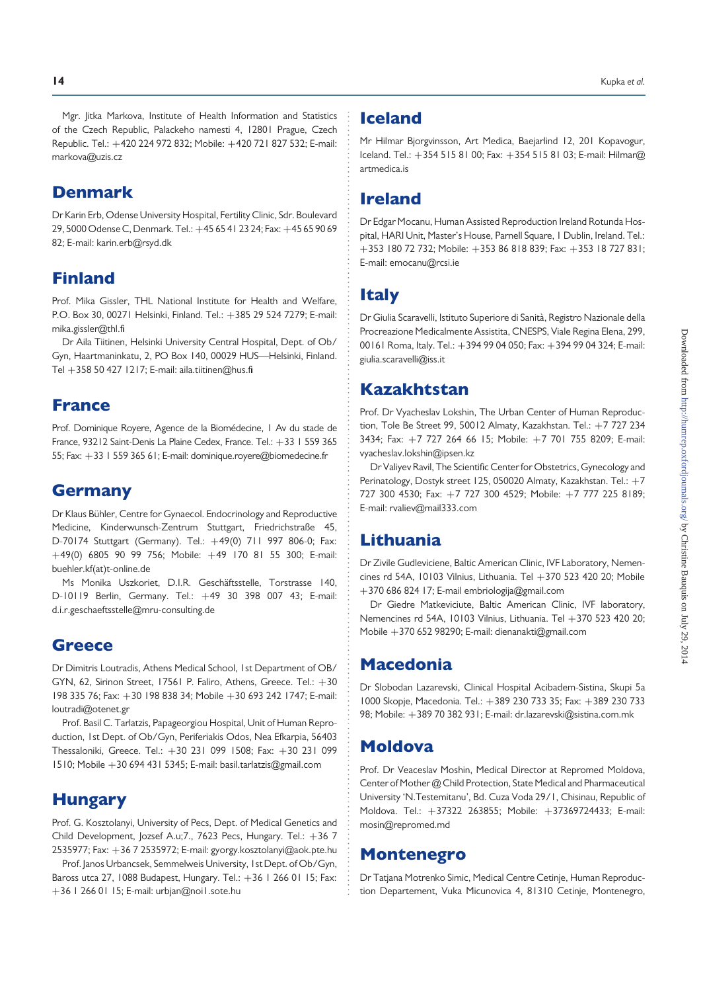Mgr. Jitka Markova, Institute of Health Information and Statistics of the Czech Republic, Palackeho namesti 4, 12801 Prague, Czech Republic. Tel.: +420 224 972 832; Mobile: +420 721 827 532; E-mail: markova@uzis.cz

### Denmark

Dr Karin Erb, Odense University Hospital, Fertility Clinic, Sdr. Boulevard 29, 5000 Odense C, Denmark. Tel.: +45 65 41 23 24; Fax: +45 65 90 69 82; E-mail: karin.erb@rsyd.dk

# Finland

Prof. Mika Gissler, THL National Institute for Health and Welfare, P.O. Box 30, 00271 Helsinki, Finland. Tel.: +385 29 524 7279; E-mail: mika.gissler@thl.fi

Dr Aila Tiitinen, Helsinki University Central Hospital, Dept. of Ob/ Gyn, Haartmaninkatu, 2, PO Box 140, 00029 HUS—Helsinki, Finland. Tel +358 50 427 1217; E-mail: aila.tiitinen@hus.fi

### France

Prof. Dominique Royere, Agence de la Biomédecine, I Av du stade de France, 93212 Saint-Denis La Plaine Cedex, France. Tel.: +33 1 559 365 55; Fax: +33 1 559 365 61; E-mail: dominique.royere@biomedecine.fr

## Germany

Dr Klaus Bühler, Centre for Gynaecol. Endocrinology and Reproductive Medicine, Kinderwunsch-Zentrum Stuttgart, Friedrichstraße 45, D-70174 Stuttgart (Germany). Tel.: +49(0) 711 997 806-0; Fax: +49(0) 6805 90 99 756; Mobile: +49 170 81 55 300; E-mail: buehler.kf(at)t-online.de

Ms Monika Uszkoriet, D.I.R. Geschäftsstelle, Torstrasse 140, D-10119 Berlin, Germany. Tel.: +49 30 398 007 43; E-mail: d.i.r.geschaeftsstelle@mru-consulting.de

### **Greece**

Dr Dimitris Loutradis, Athens Medical School, 1st Department of OB/ GYN, 62, Sirinon Street, 17561 P. Faliro, Athens, Greece. Tel.: +30 198 335 76; Fax: +30 198 838 34; Mobile +30 693 242 1747; E-mail: loutradi@otenet.gr

Prof. Basil C. Tarlatzis, Papageorgiou Hospital, Unit of Human Reproduction, 1st Dept. of Ob/Gyn, Periferiakis Odos, Nea Efkarpia, 56403 Thessaloniki, Greece. Tel.: +30 231 099 1508; Fax: +30 231 099 1510; Mobile +30 694 431 5345; E-mail: basil.tarlatzis@gmail.com

### **Hungary**

Prof. G. Kosztolanyi, University of Pecs, Dept. of Medical Genetics and Child Development, Jozsef A.u;7., 7623 Pecs, Hungary. Tel.: +36 7 2535977; Fax: +36 7 2535972; E-mail: gyorgy.kosztolanyi@aok.pte.hu

Prof. Janos Urbancsek, Semmelweis University, 1st Dept. of Ob/Gyn, Baross utca 27, 1088 Budapest, Hungary. Tel.: +36 1 266 01 15; Fax: +36 1 266 01 15; E-mail: urbjan@noi1.sote.hu

### Iceland

Mr Hilmar Bjorgvinsson, Art Medica, Baejarlind 12, 201 Kopavogur, Iceland. Tel.: +354 515 81 00; Fax: +354 515 81 03; E-mail: Hilmar@ artmedica.is

### Ireland

Dr Edgar Mocanu, Human Assisted Reproduction Ireland Rotunda Hospital, HARI Unit, Master's House, Parnell Square, 1 Dublin, Ireland. Tel.: +353 180 72 732; Mobile: +353 86 818 839; Fax: +353 18 727 831; E-mail: emocanu@rcsi.ie

### **Italy**

Dr Giulia Scaravelli, Istituto Superiore di Sanità, Registro Nazionale della Procreazione Medicalmente Assistita, CNESPS, Viale Regina Elena, 299, 00161 Roma, Italy. Tel.: +394 99 04 050; Fax: +394 99 04 324; E-mail: giulia.scaravelli@iss.it

# Kazakhtstan

Prof. Dr Vyacheslav Lokshin, The Urban Center of Human Reproduction, Tole Be Street 99, 50012 Almaty, Kazakhstan. Tel.: +7 727 234 3434; Fax: +7 727 264 66 15; Mobile: +7 701 755 8209; E-mail: vyacheslav.lokshin@ipsen.kz

Dr Valiyev Ravil, The Scientific Center for Obstetrics, Gynecology and Perinatology, Dostyk street 125, 050020 Almaty, Kazakhstan. Tel.: +7 727 300 4530; Fax: +7 727 300 4529; Mobile: +7 777 225 8189; E-mail: rvaliev@mail333.com

# Lithuania

Dr Zivile Gudleviciene, Baltic American Clinic, IVF Laboratory, Nemencines rd 54A, 10103 Vilnius, Lithuania. Tel +370 523 420 20; Mobile +370 686 824 17; E-mail embriologija@gmail.com

Dr Giedre Matkeviciute, Baltic American Clinic, IVF laboratory, Nemencines rd 54A, 10103 Vilnius, Lithuania. Tel +370 523 420 20; Mobile +370 652 98290; E-mail: dienanakti@gmail.com

### Macedonia

Dr Slobodan Lazarevski, Clinical Hospital Acibadem-Sistina, Skupi 5a 1000 Skopje, Macedonia. Tel.: +389 230 733 35; Fax: +389 230 733 98; Mobile: +389 70 382 931; E-mail: dr.lazarevski@sistina.com.mk

## Moldova

Prof. Dr Veaceslav Moshin, Medical Director at Repromed Moldova, Center of Mother @ Child Protection, State Medical and Pharmaceutical University 'N.Testemitanu', Bd. Cuza Voda 29/1, Chisinau, Republic of Moldova. Tel.: +37322 263855; Mobile: +37369724433; E-mail: mosin@repromed.md

### Montenegro

Dr Tatjana Motrenko Simic, Medical Centre Cetinje, Human Reproduction Departement, Vuka Micunovica 4, 81310 Cetinje, Montenegro,